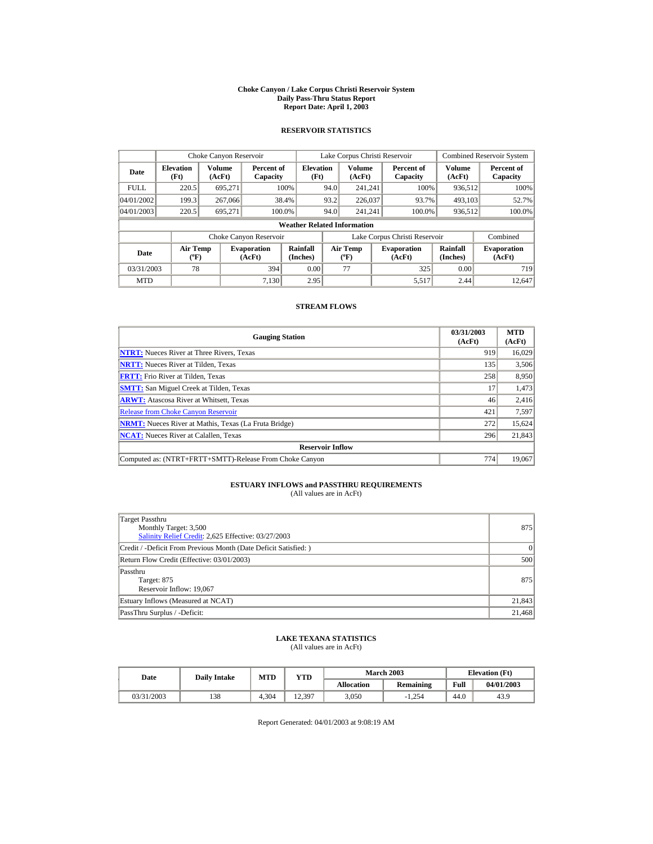#### **Choke Canyon / Lake Corpus Christi Reservoir System Daily Pass-Thru Status Report Report Date: April 1, 2003**

## **RESERVOIR STATISTICS**

|             | Choke Canyon Reservoir   |                  |                              |                                    | Lake Corpus Christi Reservoir |                                |  |                               |                      | <b>Combined Reservoir System</b> |
|-------------|--------------------------|------------------|------------------------------|------------------------------------|-------------------------------|--------------------------------|--|-------------------------------|----------------------|----------------------------------|
| Date        | <b>Elevation</b><br>(Ft) | Volume<br>(AcFt) | Percent of<br>Capacity       | <b>Elevation</b><br>(Ft)           |                               | <b>Volume</b><br>(AcFt)        |  | Percent of<br>Capacity        | Volume<br>(AcFt)     | Percent of<br>Capacity           |
| <b>FULL</b> | 220.5                    | 695.271          |                              | 100%                               | 94.0                          | 241.241                        |  | 100%                          | 936.512              | 100%                             |
| 04/01/2002  | 199.3                    | 267,066          |                              | 38.4%                              | 93.2                          | 226.037                        |  | 93.7%                         | 493.103              | 52.7%                            |
| 04/01/2003  | 220.5                    | 695.271          | 100.0%                       |                                    | 94.0                          | 241.241                        |  | 100.0%                        | 936,512              | 100.0%                           |
|             |                          |                  |                              | <b>Weather Related Information</b> |                               |                                |  |                               |                      |                                  |
|             |                          |                  | Choke Canyon Reservoir       |                                    |                               |                                |  | Lake Corpus Christi Reservoir |                      | Combined                         |
| Date        | <b>Air Temp</b><br>(°F)  |                  | <b>Evaporation</b><br>(AcFt) | Rainfall<br>(Inches)               |                               | Air Temp<br>$({}^o\mathrm{F})$ |  | <b>Evaporation</b><br>(AcFt)  | Rainfall<br>(Inches) | <b>Evaporation</b><br>(AcFt)     |
| 03/31/2003  | 78                       |                  | 394                          | 0.00                               |                               | 77                             |  | 325                           | 0.00                 | 719                              |
| <b>MTD</b>  |                          |                  | 7.130                        | 2.95                               |                               |                                |  | 5.517                         | 2.44                 | 12.647                           |

#### **STREAM FLOWS**

| <b>Gauging Station</b>                                       | 03/31/2003<br>(AcFt) | <b>MTD</b><br>(AcFt) |
|--------------------------------------------------------------|----------------------|----------------------|
| <b>NTRT:</b> Nueces River at Three Rivers, Texas             | 919                  | 16,029               |
| <b>NRTT:</b> Nueces River at Tilden, Texas                   | 135                  | 3,506                |
| <b>FRTT:</b> Frio River at Tilden, Texas                     | 258                  | 8,950                |
| <b>SMTT:</b> San Miguel Creek at Tilden, Texas               | 17                   | 1,473                |
| <b>ARWT:</b> Atascosa River at Whitsett, Texas               | 46                   | 2,416                |
| <b>Release from Choke Canyon Reservoir</b>                   | 421                  | 7,597                |
| <b>NRMT:</b> Nueces River at Mathis, Texas (La Fruta Bridge) | 272                  | 15,624               |
| <b>NCAT:</b> Nueces River at Calallen. Texas                 | 296                  | 21,843               |
| <b>Reservoir Inflow</b>                                      |                      |                      |
| Computed as: (NTRT+FRTT+SMTT)-Release From Choke Canyon      | 774                  | 19,067               |

# **ESTUARY INFLOWS and PASSTHRU REQUIREMENTS**<br>(All values are in AcFt)

| Target Passthru<br>Monthly Target: 3,500<br>Salinity Relief Credit: 2,625 Effective: 03/27/2003 | 875      |
|-------------------------------------------------------------------------------------------------|----------|
| Credit / -Deficit From Previous Month (Date Deficit Satisfied: )                                | $\Omega$ |
| Return Flow Credit (Effective: 03/01/2003)                                                      | 500      |
| Passthru<br>Target: 875<br>Reservoir Inflow: 19,067                                             | 875      |
| Estuary Inflows (Measured at NCAT)                                                              | 21,843   |
| PassThru Surplus / -Deficit:                                                                    | 21,468   |

# **LAKE TEXANA STATISTICS** (All values are in AcFt)

| Date       | <b>Daily Intake</b> | <b>MTD</b> | YTD    |                   | <b>March 2003</b> |      | <b>Elevation</b> (Ft) |
|------------|---------------------|------------|--------|-------------------|-------------------|------|-----------------------|
|            |                     |            |        | <b>Allocation</b> | Remaining         | Full | 04/01/2003            |
| 03/31/2003 | 38                  | 4.304      | 12.397 | 3.050             | $-1.254$          | 44.0 | 43.9                  |

Report Generated: 04/01/2003 at 9:08:19 AM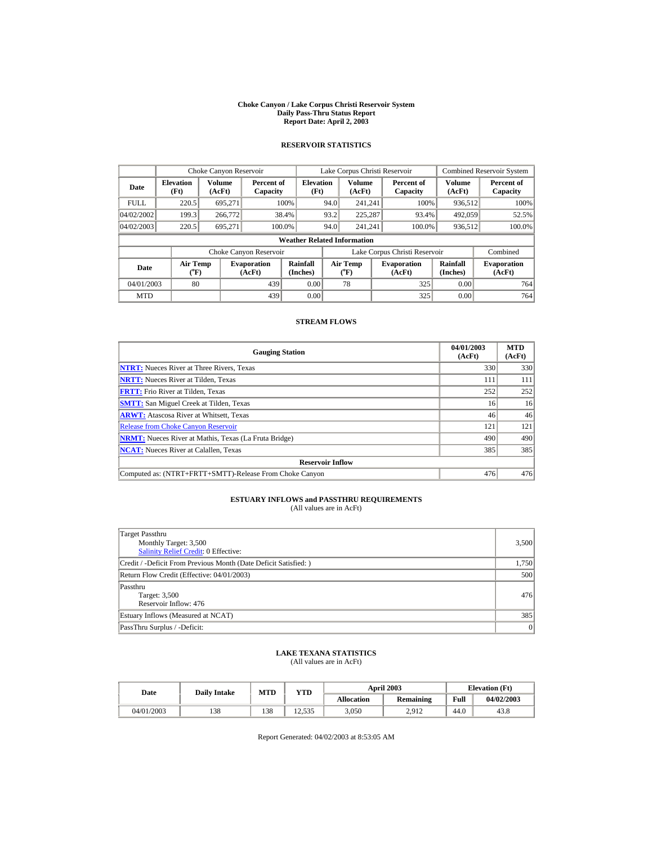#### **Choke Canyon / Lake Corpus Christi Reservoir System Daily Pass-Thru Status Report Report Date: April 2, 2003**

## **RESERVOIR STATISTICS**

|             | Choke Canyon Reservoir                |                  |                              |                                    | Lake Corpus Christi Reservoir |                         |  |                               |                      | <b>Combined Reservoir System</b> |
|-------------|---------------------------------------|------------------|------------------------------|------------------------------------|-------------------------------|-------------------------|--|-------------------------------|----------------------|----------------------------------|
| Date        | <b>Elevation</b><br>(Ft)              | Volume<br>(AcFt) | Percent of<br>Capacity       | <b>Elevation</b><br>(Ft)           |                               | <b>Volume</b><br>(AcFt) |  | Percent of<br>Capacity        | Volume<br>(AcFt)     | Percent of<br>Capacity           |
| <b>FULL</b> | 220.5                                 | 695.271          |                              | 100%                               | 94.0                          | 241.241                 |  | 100%                          | 936.512              | 100%                             |
| 04/02/2002  | 199.3                                 | 266,772          |                              | 38.4%                              | 93.2                          | 225,287                 |  | 93.4%                         | 492,059              | 52.5%                            |
| 04/02/2003  | 220.5                                 | 695.271          |                              | 100.0%                             | 94.0                          | 241.241                 |  | 100.0%                        | 936,512              | 100.0%                           |
|             |                                       |                  |                              | <b>Weather Related Information</b> |                               |                         |  |                               |                      |                                  |
|             |                                       |                  | Choke Canyon Reservoir       |                                    |                               |                         |  | Lake Corpus Christi Reservoir |                      | Combined                         |
| Date        | <b>Air Temp</b><br>$({}^o\mathrm{F})$ |                  | <b>Evaporation</b><br>(AcFt) | Rainfall<br>(Inches)               |                               | Air Temp<br>$(^{o}F)$   |  | <b>Evaporation</b><br>(AcFt)  | Rainfall<br>(Inches) | <b>Evaporation</b><br>(AcFt)     |
| 04/01/2003  | 80                                    |                  | 439                          | 0.00                               |                               | 78                      |  | 325                           | 0.00                 | 764                              |
| <b>MTD</b>  |                                       |                  | 439                          | 0.00                               |                               |                         |  | 325                           | 0.00                 | 764                              |

#### **STREAM FLOWS**

| <b>Gauging Station</b>                                       | 04/01/2003<br>(AcFt) | <b>MTD</b><br>(AcFt) |
|--------------------------------------------------------------|----------------------|----------------------|
| <b>NTRT:</b> Nueces River at Three Rivers, Texas             | 330                  | 330                  |
| <b>NRTT:</b> Nueces River at Tilden, Texas                   | 111                  | 111                  |
| <b>FRTT:</b> Frio River at Tilden. Texas                     | 252                  | 252                  |
| <b>SMTT:</b> San Miguel Creek at Tilden, Texas               | 16                   | 16                   |
| <b>ARWT:</b> Atascosa River at Whitsett, Texas               | 46                   | 46                   |
| <b>Release from Choke Canyon Reservoir</b>                   | 121                  | 121                  |
| <b>NRMT:</b> Nueces River at Mathis, Texas (La Fruta Bridge) | 490                  | 490                  |
| <b>NCAT:</b> Nueces River at Calallen, Texas                 | 385                  | 385                  |
| <b>Reservoir Inflow</b>                                      |                      |                      |
| Computed as: (NTRT+FRTT+SMTT)-Release From Choke Canyon      | 476                  | 476                  |

# **ESTUARY INFLOWS and PASSTHRU REQUIREMENTS**<br>(All values are in AcFt)

| Target Passthru<br>Monthly Target: 3,500<br>Salinity Relief Credit: 0 Effective: | 3,500 |
|----------------------------------------------------------------------------------|-------|
| Credit / -Deficit From Previous Month (Date Deficit Satisfied: )                 | 1,750 |
| Return Flow Credit (Effective: 04/01/2003)                                       | 500   |
| Passthru<br>Target: 3,500<br>Reservoir Inflow: 476                               | 476   |
| Estuary Inflows (Measured at NCAT)                                               | 385   |
| PassThru Surplus / -Deficit:                                                     | 0     |

# **LAKE TEXANA STATISTICS** (All values are in AcFt)

| Date       | <b>Daily Intake</b> | <b>MTD</b> | YTD    |            | <b>April 2003</b> | <b>Elevation</b> (Ft) |            |
|------------|---------------------|------------|--------|------------|-------------------|-----------------------|------------|
|            |                     |            |        | Allocation | Remaining         | Full                  | 04/02/2003 |
| 04/01/2003 | 138                 | 138        | 12.535 | 3,050      | 2.912             | 44.0                  | 43.8       |

Report Generated: 04/02/2003 at 8:53:05 AM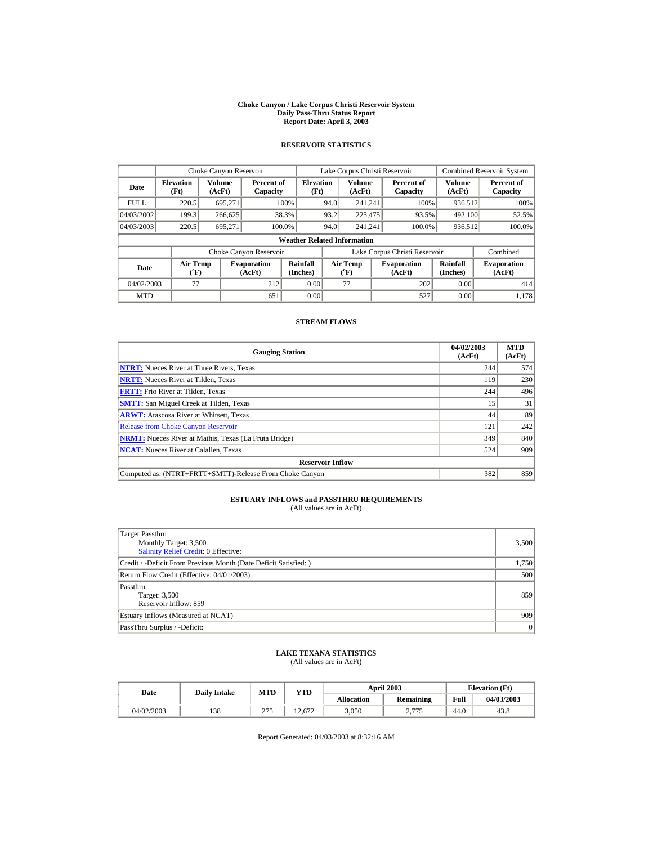#### **Choke Canyon / Lake Corpus Christi Reservoir System Daily Pass-Thru Status Report Report Date: April 3, 2003**

## **RESERVOIR STATISTICS**

|             | Choke Canyon Reservoir         |                  |                              |                                    | Lake Corpus Christi Reservoir |                                |  |                               |                      | <b>Combined Reservoir System</b> |
|-------------|--------------------------------|------------------|------------------------------|------------------------------------|-------------------------------|--------------------------------|--|-------------------------------|----------------------|----------------------------------|
| Date        | <b>Elevation</b><br>(Ft)       | Volume<br>(AcFt) | Percent of<br>Capacity       | <b>Elevation</b><br>(Ft)           |                               | <b>Volume</b><br>(AcFt)        |  | Percent of<br>Capacity        | Volume<br>(AcFt)     | Percent of<br>Capacity           |
| <b>FULL</b> | 220.5                          | 695.271          |                              | 100%                               | 94.0                          | 241.241                        |  | 100%                          | 936.512              | 100%                             |
| 04/03/2002  | 199.3                          | 266,625          |                              | 38.3%                              | 93.2                          | 225,475                        |  | 93.5%                         | 492,100              | 52.5%                            |
| 04/03/2003  | 220.5                          | 695.271          |                              | 100.0%                             | 94.0                          | 241.241                        |  | 100.0%                        | 936,512              | 100.0%                           |
|             |                                |                  |                              | <b>Weather Related Information</b> |                               |                                |  |                               |                      |                                  |
|             |                                |                  | Choke Canyon Reservoir       |                                    |                               |                                |  | Lake Corpus Christi Reservoir |                      | Combined                         |
| Date        | Air Temp<br>$({}^o\mathrm{F})$ |                  | <b>Evaporation</b><br>(AcFt) | Rainfall<br>(Inches)               |                               | Air Temp<br>$({}^o\mathrm{F})$ |  | <b>Evaporation</b><br>(AcFt)  | Rainfall<br>(Inches) | <b>Evaporation</b><br>(AcFt)     |
| 04/02/2003  | 77                             |                  | 212                          | 0.00                               |                               | 77                             |  | 202                           | 0.00                 | 414                              |
| <b>MTD</b>  |                                |                  | 651                          | 0.00                               |                               |                                |  | 527                           | 0.00                 | 1,178                            |

#### **STREAM FLOWS**

| <b>Gauging Station</b>                                       | 04/02/2003<br>(AcFt) | <b>MTD</b><br>(AcFt) |
|--------------------------------------------------------------|----------------------|----------------------|
| <b>NTRT:</b> Nueces River at Three Rivers, Texas             | 244                  | 574                  |
| <b>NRTT:</b> Nueces River at Tilden, Texas                   | 119                  | 230                  |
| <b>FRTT:</b> Frio River at Tilden. Texas                     | 244                  | 496                  |
| <b>SMTT:</b> San Miguel Creek at Tilden, Texas               | 15                   | 31                   |
| <b>ARWT:</b> Atascosa River at Whitsett, Texas               | 44                   | 89                   |
| <b>Release from Choke Canyon Reservoir</b>                   | 121                  | 242                  |
| <b>NRMT:</b> Nueces River at Mathis, Texas (La Fruta Bridge) | 349                  | 840                  |
| <b>NCAT:</b> Nueces River at Calallen, Texas                 | 524                  | 909                  |
| <b>Reservoir Inflow</b>                                      |                      |                      |
| Computed as: (NTRT+FRTT+SMTT)-Release From Choke Canyon      | 382                  | 859                  |

# **ESTUARY INFLOWS and PASSTHRU REQUIREMENTS**<br>(All values are in AcFt)

| Target Passthru<br>Monthly Target: 3,500<br>Salinity Relief Credit: 0 Effective: | 3,500 |
|----------------------------------------------------------------------------------|-------|
| Credit / -Deficit From Previous Month (Date Deficit Satisfied: )                 | 1,750 |
| Return Flow Credit (Effective: 04/01/2003)                                       | 500   |
| Passthru<br>Target: 3,500<br>Reservoir Inflow: 859                               | 859   |
| Estuary Inflows (Measured at NCAT)                                               | 909   |
| PassThru Surplus / -Deficit:                                                     | 0     |

## **LAKE TEXANA STATISTICS** (All values are in AcFt)

| Date       | <b>Daily Intake</b> | MTD | YTD    |            | <b>April 2003</b> |      | <b>Elevation</b> (Ft) |
|------------|---------------------|-----|--------|------------|-------------------|------|-----------------------|
|            |                     |     |        | Allocation | Remaining         | Full | 04/03/2003            |
| 04/02/2003 | l 38                | 275 | 12.672 | 3,050      | 2,775             | 44.0 | 43.8                  |

Report Generated: 04/03/2003 at 8:32:16 AM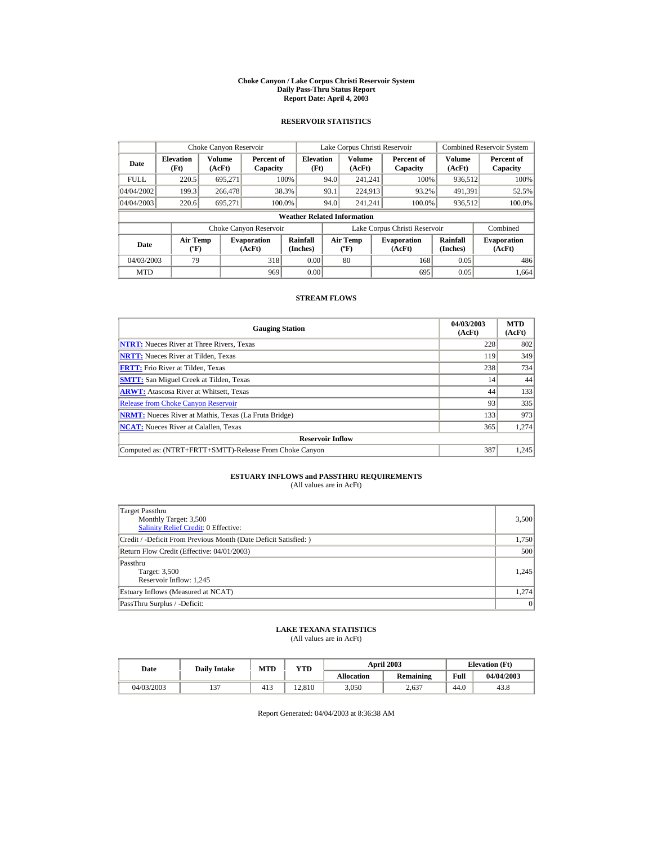#### **Choke Canyon / Lake Corpus Christi Reservoir System Daily Pass-Thru Status Report Report Date: April 4, 2003**

### **RESERVOIR STATISTICS**

|             | Choke Canyon Reservoir                      |                  |                              |                          | Lake Corpus Christi Reservoir             |                  |  |                               |                      | <b>Combined Reservoir System</b> |  |  |
|-------------|---------------------------------------------|------------------|------------------------------|--------------------------|-------------------------------------------|------------------|--|-------------------------------|----------------------|----------------------------------|--|--|
| Date        | <b>Elevation</b><br>(Ft)                    | Volume<br>(AcFt) | Percent of<br>Capacity       | <b>Elevation</b><br>(Ft) |                                           | Volume<br>(AcFt) |  | Percent of<br>Capacity        | Volume<br>(AcFt)     | Percent of<br>Capacity           |  |  |
| <b>FULL</b> | 220.5                                       | 695.271          |                              | 100%                     | 94.0                                      | 241.241          |  | 100%                          | 936,512              | 100%                             |  |  |
| 04/04/2002  | 199.3                                       | 266,478          |                              | 38.3%                    | 93.1                                      | 224,913          |  | 93.2%                         | 491,391              | 52.5%                            |  |  |
| 04/04/2003  | 220.6                                       | 695.271          | 100.0%                       |                          | 94.0                                      | 241.241          |  | 100.0%                        | 936,512              | 100.0%                           |  |  |
|             | <b>Weather Related Information</b>          |                  |                              |                          |                                           |                  |  |                               |                      |                                  |  |  |
|             |                                             |                  | Choke Canyon Reservoir       |                          |                                           |                  |  | Lake Corpus Christi Reservoir |                      | Combined                         |  |  |
| Date        | <b>Air Temp</b><br>$({}^{\circ}\mathrm{F})$ |                  | <b>Evaporation</b><br>(AcFt) | Rainfall<br>(Inches)     | <b>Air Temp</b><br>$({}^{\circ}\text{F})$ |                  |  | <b>Evaporation</b><br>(AcFt)  | Rainfall<br>(Inches) | <b>Evaporation</b><br>(AcFt)     |  |  |
| 04/03/2003  | 79                                          |                  | 318                          | 0.00                     |                                           | 80               |  | 168                           | 0.05                 | 486                              |  |  |
| <b>MTD</b>  |                                             |                  | 969                          | 0.00                     |                                           |                  |  | 695                           | 0.05                 | 1.664                            |  |  |

### **STREAM FLOWS**

| <b>Gauging Station</b>                                       | 04/03/2003<br>(AcFt) | <b>MTD</b><br>(AcFt) |
|--------------------------------------------------------------|----------------------|----------------------|
| <b>NTRT:</b> Nueces River at Three Rivers, Texas             | 228                  | 802                  |
| <b>NRTT:</b> Nueces River at Tilden, Texas                   | 119                  | 349                  |
| <b>FRTT:</b> Frio River at Tilden, Texas                     | 238                  | 734                  |
| <b>SMTT:</b> San Miguel Creek at Tilden, Texas               | 14                   | 44                   |
| <b>ARWT:</b> Atascosa River at Whitsett, Texas               | 44                   | 133                  |
| <b>Release from Choke Canyon Reservoir</b>                   | 93                   | 335                  |
| <b>NRMT:</b> Nueces River at Mathis, Texas (La Fruta Bridge) | 133                  | 973                  |
| <b>NCAT:</b> Nueces River at Calallen, Texas                 | 365                  | 1,274                |
| <b>Reservoir Inflow</b>                                      |                      |                      |
| Computed as: (NTRT+FRTT+SMTT)-Release From Choke Canyon      | 387                  | 1,245                |

# **ESTUARY INFLOWS and PASSTHRU REQUIREMENTS**<br>(All values are in AcFt)

| Target Passthru<br>Monthly Target: 3,500<br>Salinity Relief Credit: 0 Effective: | 3,500 |
|----------------------------------------------------------------------------------|-------|
| Credit / -Deficit From Previous Month (Date Deficit Satisfied:)                  | 1,750 |
| Return Flow Credit (Effective: 04/01/2003)                                       | 500   |
| Passthru<br>Target: 3,500<br>Reservoir Inflow: 1,245                             | 1.245 |
| Estuary Inflows (Measured at NCAT)                                               | 1,274 |
| PassThru Surplus / -Deficit:                                                     | 0     |

## **LAKE TEXANA STATISTICS**

(All values are in AcFt)

| Date       | <b>Daily Intake</b> | <b>MTD</b> | YTD    |                   | <b>April 2003</b> |      | <b>Elevation</b> (Ft) |
|------------|---------------------|------------|--------|-------------------|-------------------|------|-----------------------|
|            |                     |            |        | <b>Allocation</b> | Remaining         | Full | 04/04/2003            |
| 04/03/2003 | $\sim$              | 413        | 12.810 | 3.050             | 2.637             | 44.0 | 43.8                  |

Report Generated: 04/04/2003 at 8:36:38 AM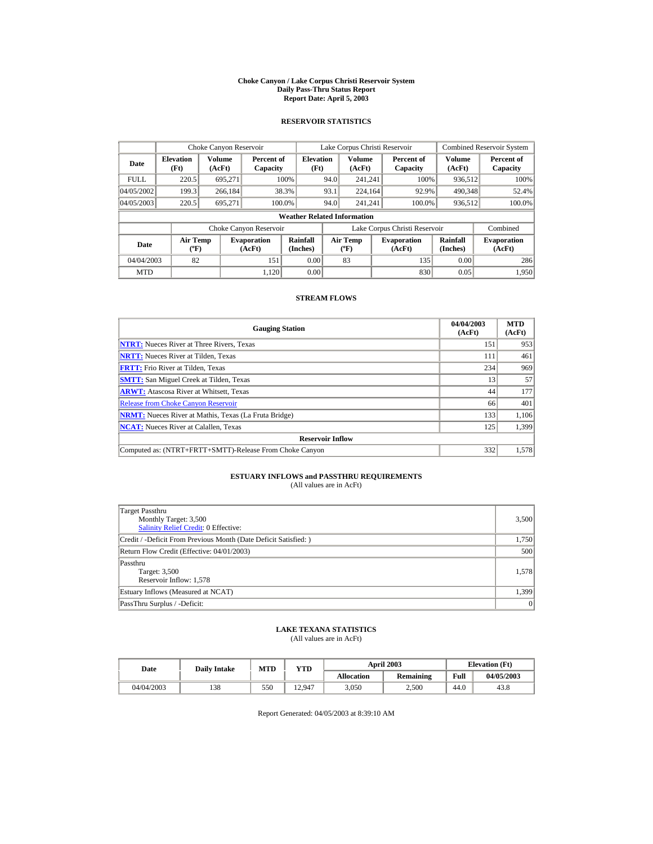#### **Choke Canyon / Lake Corpus Christi Reservoir System Daily Pass-Thru Status Report Report Date: April 5, 2003**

### **RESERVOIR STATISTICS**

|             | Choke Canyon Reservoir                      |                  |                              |                          | Lake Corpus Christi Reservoir |                                           |  |                               |                      | <b>Combined Reservoir System</b> |  |  |
|-------------|---------------------------------------------|------------------|------------------------------|--------------------------|-------------------------------|-------------------------------------------|--|-------------------------------|----------------------|----------------------------------|--|--|
| Date        | <b>Elevation</b><br>(Ft)                    | Volume<br>(AcFt) | Percent of<br>Capacity       | <b>Elevation</b><br>(Ft) |                               | Volume<br>(AcFt)                          |  | Percent of<br>Capacity        | Volume<br>(AcFt)     | Percent of<br>Capacity           |  |  |
| <b>FULL</b> | 220.5                                       | 695.271          |                              | 100%                     | 94.0                          | 241.241                                   |  | 100%                          | 936,512              | 100%                             |  |  |
| 04/05/2002  | 199.3                                       | 266,184          |                              | 38.3%                    | 93.1                          | 224,164                                   |  | 92.9%                         | 490.348              | 52.4%                            |  |  |
| 04/05/2003  | 220.5                                       | 695.271          |                              | 100.0%                   | 94.0                          | 241.241                                   |  | 100.0%                        | 936,512              | 100.0%                           |  |  |
|             | <b>Weather Related Information</b>          |                  |                              |                          |                               |                                           |  |                               |                      |                                  |  |  |
|             |                                             |                  | Choke Canyon Reservoir       |                          |                               |                                           |  | Lake Corpus Christi Reservoir |                      | Combined                         |  |  |
| Date        | <b>Air Temp</b><br>$({}^{\circ}\mathrm{F})$ |                  | <b>Evaporation</b><br>(AcFt) | Rainfall<br>(Inches)     |                               | <b>Air Temp</b><br>$({}^{\circ}\text{F})$ |  | <b>Evaporation</b><br>(AcFt)  | Rainfall<br>(Inches) | <b>Evaporation</b><br>(AcFt)     |  |  |
| 04/04/2003  | 82                                          |                  | 151                          | 0.00                     |                               | 83                                        |  | 135                           | 0.00                 | 286                              |  |  |
| <b>MTD</b>  |                                             |                  | 1.120                        | 0.00                     |                               |                                           |  | 830                           | 0.05                 | 1,950                            |  |  |

### **STREAM FLOWS**

| <b>Gauging Station</b>                                       | 04/04/2003<br>(AcFt) | <b>MTD</b><br>(AcFt) |
|--------------------------------------------------------------|----------------------|----------------------|
| <b>NTRT:</b> Nueces River at Three Rivers, Texas             | 151                  | 953                  |
| <b>NRTT:</b> Nueces River at Tilden, Texas                   | 111                  | 461                  |
| <b>FRTT:</b> Frio River at Tilden, Texas                     | 234                  | 969                  |
| <b>SMTT:</b> San Miguel Creek at Tilden, Texas               | 13                   | 57                   |
| <b>ARWT:</b> Atascosa River at Whitsett, Texas               | 44                   | 177                  |
| <b>Release from Choke Canyon Reservoir</b>                   | 66                   | 401                  |
| <b>NRMT:</b> Nueces River at Mathis, Texas (La Fruta Bridge) | 133                  | 1.106                |
| <b>NCAT:</b> Nueces River at Calallen, Texas                 | 125                  | 1.399                |
| <b>Reservoir Inflow</b>                                      |                      |                      |
| Computed as: (NTRT+FRTT+SMTT)-Release From Choke Canyon      | 332                  | 1,578                |

# **ESTUARY INFLOWS and PASSTHRU REQUIREMENTS**<br>(All values are in AcFt)

| Target Passthru<br>Monthly Target: 3,500<br><b>Salinity Relief Credit: 0 Effective:</b> | 3,500 |
|-----------------------------------------------------------------------------------------|-------|
| Credit / -Deficit From Previous Month (Date Deficit Satisfied: )                        | 1,750 |
| Return Flow Credit (Effective: 04/01/2003)                                              | 500   |
| Passthru<br>Target: 3,500<br>Reservoir Inflow: 1,578                                    | 1.578 |
| Estuary Inflows (Measured at NCAT)                                                      | 1,399 |
| PassThru Surplus / -Deficit:                                                            | 0     |

## **LAKE TEXANA STATISTICS**

(All values are in AcFt)

| Date       | <b>Daily Intake</b> | <b>MTD</b> | YTD    |                   | <b>April 2003</b> | <b>Elevation</b> (Ft) |            |
|------------|---------------------|------------|--------|-------------------|-------------------|-----------------------|------------|
|            |                     |            |        | <b>Allocation</b> | Remaining         | Full                  | 04/05/2003 |
| 04/04/2003 | 138                 | 550        | 12.947 | 3.050             | 2.500             | 44.0                  | 43.8       |

Report Generated: 04/05/2003 at 8:39:10 AM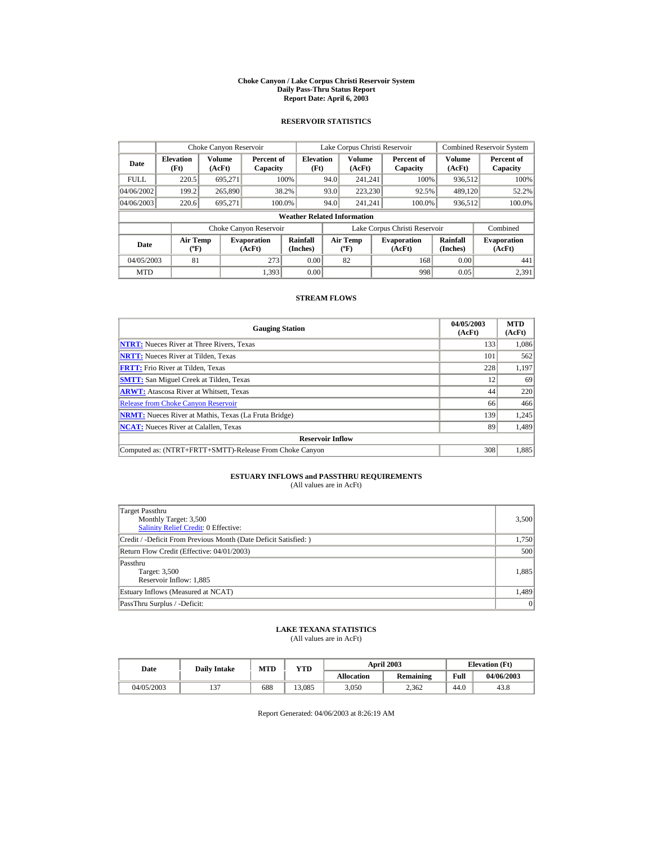#### **Choke Canyon / Lake Corpus Christi Reservoir System Daily Pass-Thru Status Report Report Date: April 6, 2003**

### **RESERVOIR STATISTICS**

|             | Choke Canyon Reservoir                      |                         |                              |                          | Lake Corpus Christi Reservoir                    |                         |  |                               |                         | <b>Combined Reservoir System</b> |  |  |
|-------------|---------------------------------------------|-------------------------|------------------------------|--------------------------|--------------------------------------------------|-------------------------|--|-------------------------------|-------------------------|----------------------------------|--|--|
| Date        | <b>Elevation</b><br>(Ft)                    | <b>Volume</b><br>(AcFt) | Percent of<br>Capacity       | <b>Elevation</b><br>(Ft) |                                                  | <b>Volume</b><br>(AcFt) |  | Percent of<br>Capacity        | <b>Volume</b><br>(AcFt) | Percent of<br>Capacity           |  |  |
| <b>FULL</b> | 220.5                                       | 695.271                 |                              | 100%                     | 94.0                                             | 241.241                 |  | 100%                          | 936.512                 | 100%                             |  |  |
| 04/06/2002  | 199.2                                       | 265,890                 |                              | 38.2%                    | 93.0                                             | 223,230                 |  | 92.5%                         | 489.120                 | 52.2%                            |  |  |
| 04/06/2003  | 220.6                                       | 695.271                 |                              | 100.0%                   | 94.0                                             | 241.241                 |  | 100.0%                        | 936,512                 | 100.0%                           |  |  |
|             | <b>Weather Related Information</b>          |                         |                              |                          |                                                  |                         |  |                               |                         |                                  |  |  |
|             |                                             |                         | Choke Canyon Reservoir       |                          |                                                  |                         |  | Lake Corpus Christi Reservoir |                         | Combined                         |  |  |
| Date        | <b>Air Temp</b><br>$({}^{\circ}\mathrm{F})$ |                         | <b>Evaporation</b><br>(AcFt) | Rainfall<br>(Inches)     | <b>Air Temp</b><br>$({}^{\mathrm{o}}\mathrm{F})$ |                         |  | <b>Evaporation</b><br>(AcFt)  | Rainfall<br>(Inches)    | <b>Evaporation</b><br>(AcFt)     |  |  |
| 04/05/2003  | 81                                          |                         | 273                          | 0.00                     |                                                  | 82                      |  | 168                           | 0.00                    | 441                              |  |  |
| <b>MTD</b>  |                                             |                         | 1.393                        | 0.00                     |                                                  |                         |  | 998                           | 0.05                    | 2.391                            |  |  |

### **STREAM FLOWS**

| <b>Gauging Station</b>                                       | 04/05/2003<br>(AcFt) | <b>MTD</b><br>(AcFt) |
|--------------------------------------------------------------|----------------------|----------------------|
| <b>NTRT:</b> Nueces River at Three Rivers, Texas             | 133                  | 1,086                |
| <b>NRTT:</b> Nueces River at Tilden. Texas                   | 101                  | 562                  |
| <b>FRTT:</b> Frio River at Tilden, Texas                     | 228                  | 1,197                |
| <b>SMTT:</b> San Miguel Creek at Tilden, Texas               | 12                   | 69                   |
| <b>ARWT:</b> Atascosa River at Whitsett, Texas               | 44                   | 220                  |
| <b>Release from Choke Canyon Reservoir</b>                   | 66                   | 466                  |
| <b>NRMT:</b> Nueces River at Mathis, Texas (La Fruta Bridge) | 139                  | 1,245                |
| <b>NCAT:</b> Nueces River at Calallen, Texas                 | 89                   | 1,489                |
| <b>Reservoir Inflow</b>                                      |                      |                      |
| Computed as: (NTRT+FRTT+SMTT)-Release From Choke Canyon      | 308                  | 1,885                |

# **ESTUARY INFLOWS and PASSTHRU REQUIREMENTS**<br>(All values are in AcFt)

| Target Passthru<br>Monthly Target: 3,500<br>Salinity Relief Credit: 0 Effective: | 3,500 |
|----------------------------------------------------------------------------------|-------|
| Credit / -Deficit From Previous Month (Date Deficit Satisfied:)                  | 1,750 |
| Return Flow Credit (Effective: 04/01/2003)                                       | 500   |
| Passthru<br>Target: 3,500<br>Reservoir Inflow: 1,885                             | 1.885 |
| Estuary Inflows (Measured at NCAT)                                               | 1,489 |
| PassThru Surplus / -Deficit:                                                     | 0     |

## **LAKE TEXANA STATISTICS**

(All values are in AcFt)

| Date       | <b>Daily Intake</b> | <b>MTD</b> | YTD    |                   | <b>April 2003</b> | <b>Elevation</b> (Ft) |            |
|------------|---------------------|------------|--------|-------------------|-------------------|-----------------------|------------|
|            |                     |            |        | <b>Allocation</b> | Remaining         | Full                  | 04/06/2003 |
| 04/05/2003 | $\sim$              | 688        | 13.085 | 3.050             | 2.362             | 44.0                  | 43.8       |

Report Generated: 04/06/2003 at 8:26:19 AM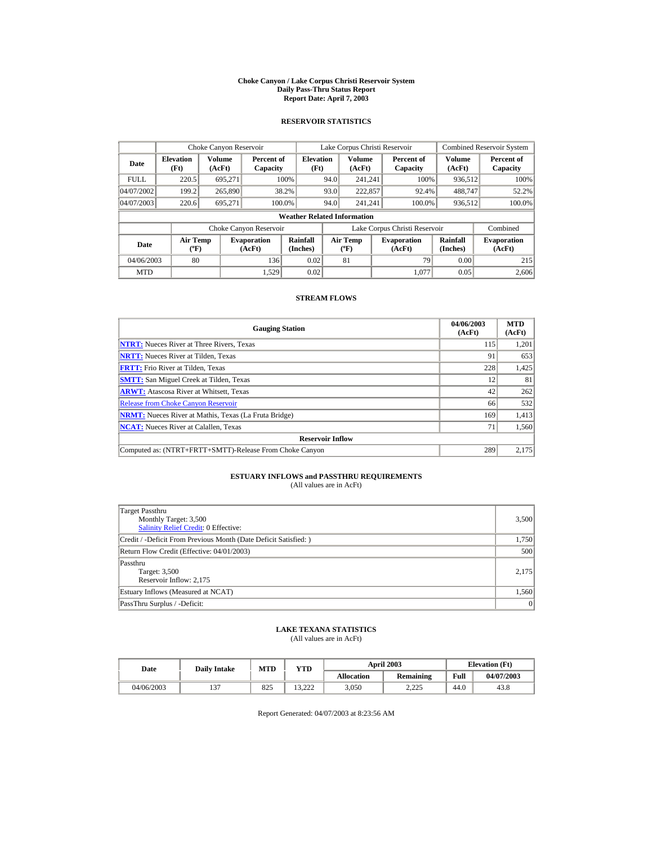#### **Choke Canyon / Lake Corpus Christi Reservoir System Daily Pass-Thru Status Report Report Date: April 7, 2003**

### **RESERVOIR STATISTICS**

|             | Choke Canyon Reservoir                      |                  |                              |                          | Lake Corpus Christi Reservoir |                                           |  |                               |                      | <b>Combined Reservoir System</b> |  |  |
|-------------|---------------------------------------------|------------------|------------------------------|--------------------------|-------------------------------|-------------------------------------------|--|-------------------------------|----------------------|----------------------------------|--|--|
| Date        | <b>Elevation</b><br>(Ft)                    | Volume<br>(AcFt) | Percent of<br>Capacity       | <b>Elevation</b><br>(Ft) |                               | Volume<br>(AcFt)                          |  | Percent of<br>Capacity        | Volume<br>(AcFt)     | Percent of<br>Capacity           |  |  |
| <b>FULL</b> | 220.5                                       | 695,271          |                              | 100%                     | 94.0                          | 241.241                                   |  | 100%                          | 936,512              | 100%                             |  |  |
| 04/07/2002  | 199.2                                       | 265,890          |                              | 38.2%                    | 93.0                          | 222,857                                   |  | 92.4%                         | 488,747              | 52.2%                            |  |  |
| 04/07/2003  | 220.6                                       | 695.271          |                              | 100.0%                   | 94.0                          | 241.241                                   |  | 100.0%                        | 936,512              | 100.0%                           |  |  |
|             | <b>Weather Related Information</b>          |                  |                              |                          |                               |                                           |  |                               |                      |                                  |  |  |
|             |                                             |                  | Choke Canyon Reservoir       |                          |                               |                                           |  | Lake Corpus Christi Reservoir |                      | Combined                         |  |  |
| Date        | <b>Air Temp</b><br>$({}^{\circ}\mathrm{F})$ |                  | <b>Evaporation</b><br>(AcFt) | Rainfall<br>(Inches)     |                               | <b>Air Temp</b><br>$({}^{\circ}\text{F})$ |  | <b>Evaporation</b><br>(AcFt)  | Rainfall<br>(Inches) | <b>Evaporation</b><br>(AcFt)     |  |  |
| 04/06/2003  | 80                                          |                  | 136                          | 0.02                     |                               | 81                                        |  | 79                            | 0.00                 | 215                              |  |  |
| <b>MTD</b>  |                                             |                  | 1.529                        | 0.02                     |                               |                                           |  | 1.077                         | 0.05                 | 2,606                            |  |  |

### **STREAM FLOWS**

| <b>Gauging Station</b>                                       | 04/06/2003<br>(AcFt) | <b>MTD</b><br>(AcFt) |
|--------------------------------------------------------------|----------------------|----------------------|
| <b>NTRT:</b> Nueces River at Three Rivers, Texas             | 115                  | 1,201                |
| <b>NRTT:</b> Nueces River at Tilden. Texas                   | 91                   | 653                  |
| <b>FRTT:</b> Frio River at Tilden, Texas                     | 228                  | 1,425                |
| <b>SMTT:</b> San Miguel Creek at Tilden, Texas               | 12                   | 81                   |
| <b>ARWT:</b> Atascosa River at Whitsett, Texas               | 42                   | 262                  |
| <b>Release from Choke Canyon Reservoir</b>                   | 66                   | 532                  |
| <b>NRMT:</b> Nueces River at Mathis, Texas (La Fruta Bridge) | 169                  | 1,413                |
| <b>NCAT:</b> Nueces River at Calallen, Texas                 | 71                   | 1,560                |
| <b>Reservoir Inflow</b>                                      |                      |                      |
| Computed as: (NTRT+FRTT+SMTT)-Release From Choke Canyon      | 289                  | 2,175                |

# **ESTUARY INFLOWS and PASSTHRU REQUIREMENTS**<br>(All values are in AcFt)

| <b>Target Passthru</b><br>Monthly Target: 3,500<br>Salinity Relief Credit: 0 Effective: | 3,500 |
|-----------------------------------------------------------------------------------------|-------|
| Credit / -Deficit From Previous Month (Date Deficit Satisfied:)                         | 1,750 |
| Return Flow Credit (Effective: 04/01/2003)                                              | 500   |
| Passthru<br>Target: 3,500<br>Reservoir Inflow: 2,175                                    | 2.175 |
| Estuary Inflows (Measured at NCAT)                                                      | 1,560 |
| PassThru Surplus / -Deficit:                                                            | 0     |

## **LAKE TEXANA STATISTICS**

(All values are in AcFt)

| Date       | <b>Daily Intake</b> | <b>MTD</b> | <b>VTD</b>       |                   | <b>April 2003</b>    | <b>Elevation</b> (Ft) |            |
|------------|---------------------|------------|------------------|-------------------|----------------------|-----------------------|------------|
|            |                     |            |                  | <b>Allocation</b> | Remaining            | Full                  | 04/07/2003 |
| 04/06/2003 | $\sim$              | 825        | 0.222<br>1.1.244 | 3.050             | າ າາະ<br>ت کے والے ک | 44.0                  | 43.8       |

Report Generated: 04/07/2003 at 8:23:56 AM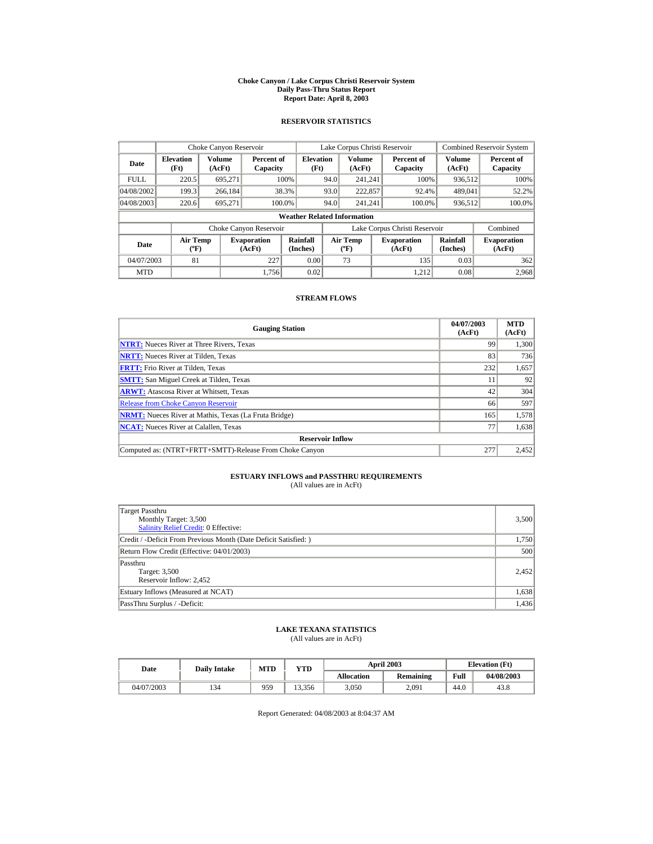#### **Choke Canyon / Lake Corpus Christi Reservoir System Daily Pass-Thru Status Report Report Date: April 8, 2003**

### **RESERVOIR STATISTICS**

|             | Choke Canyon Reservoir                      |                  |                              |                          | Lake Corpus Christi Reservoir                    |                         |  |                               |                         | <b>Combined Reservoir System</b> |  |  |
|-------------|---------------------------------------------|------------------|------------------------------|--------------------------|--------------------------------------------------|-------------------------|--|-------------------------------|-------------------------|----------------------------------|--|--|
| Date        | <b>Elevation</b><br>(Ft)                    | Volume<br>(AcFt) | Percent of<br>Capacity       | <b>Elevation</b><br>(Ft) |                                                  | <b>Volume</b><br>(AcFt) |  | Percent of<br>Capacity        | <b>Volume</b><br>(AcFt) | Percent of<br>Capacity           |  |  |
| <b>FULL</b> | 220.5                                       | 695.271          |                              | 100%                     | 94.0                                             | 241.241                 |  | 100%                          | 936.512                 | 100%                             |  |  |
| 04/08/2002  | 199.3                                       | 266,184          |                              | 38.3%                    | 93.0                                             | 222,857                 |  | 92.4%                         | 489,041                 | 52.2%                            |  |  |
| 04/08/2003  | 220.6                                       | 695.271          |                              | 100.0%                   | 94.0                                             | 241.241                 |  | 100.0%                        | 936,512                 | 100.0%                           |  |  |
|             | <b>Weather Related Information</b>          |                  |                              |                          |                                                  |                         |  |                               |                         |                                  |  |  |
|             |                                             |                  | Choke Canyon Reservoir       |                          |                                                  |                         |  | Lake Corpus Christi Reservoir |                         | Combined                         |  |  |
| Date        | <b>Air Temp</b><br>$({}^{\circ}\mathrm{F})$ |                  | <b>Evaporation</b><br>(AcFt) | Rainfall<br>(Inches)     | <b>Air Temp</b><br>$({}^{\mathrm{o}}\mathrm{F})$ |                         |  | <b>Evaporation</b><br>(AcFt)  | Rainfall<br>(Inches)    | <b>Evaporation</b><br>(AcFt)     |  |  |
| 04/07/2003  | 81                                          |                  | 227                          | 0.00                     |                                                  | 73                      |  | 135                           | 0.03                    | 362                              |  |  |
| <b>MTD</b>  |                                             |                  | 1.756                        | 0.02                     |                                                  |                         |  | 1.212                         | 0.08                    | 2.968                            |  |  |

### **STREAM FLOWS**

| <b>Gauging Station</b>                                       | 04/07/2003<br>(AcFt) | <b>MTD</b><br>(AcFt) |
|--------------------------------------------------------------|----------------------|----------------------|
| <b>NTRT:</b> Nueces River at Three Rivers, Texas             | 99                   | 1,300                |
| <b>NRTT:</b> Nueces River at Tilden. Texas                   | 83                   | 736                  |
| <b>FRTT:</b> Frio River at Tilden, Texas                     | 232                  | 1,657                |
| <b>SMTT:</b> San Miguel Creek at Tilden, Texas               |                      | 92                   |
| <b>ARWT:</b> Atascosa River at Whitsett, Texas               | 42                   | 304                  |
| <b>Release from Choke Canyon Reservoir</b>                   | 66                   | 597                  |
| <b>NRMT:</b> Nueces River at Mathis, Texas (La Fruta Bridge) | 165                  | 1,578                |
| <b>NCAT:</b> Nueces River at Calallen, Texas                 | 77                   | 1,638                |
| <b>Reservoir Inflow</b>                                      |                      |                      |
| Computed as: (NTRT+FRTT+SMTT)-Release From Choke Canyon      | 277                  | 2,452                |

# **ESTUARY INFLOWS and PASSTHRU REQUIREMENTS**<br>(All values are in AcFt)

| Target Passthru<br>Monthly Target: 3,500<br>Salinity Relief Credit: 0 Effective: | 3,500 |
|----------------------------------------------------------------------------------|-------|
| Credit / -Deficit From Previous Month (Date Deficit Satisfied:)                  | 1,750 |
| Return Flow Credit (Effective: 04/01/2003)                                       | 500   |
| Passthru<br>Target: 3,500<br>Reservoir Inflow: 2,452                             | 2.452 |
| Estuary Inflows (Measured at NCAT)                                               | 1,638 |
| PassThru Surplus / -Deficit:                                                     | 1,436 |

## **LAKE TEXANA STATISTICS**

(All values are in AcFt)

| Date       | <b>Daily Intake</b> | <b>MTD</b> | YTD    |                   | <b>April 2003</b> |      | <b>Elevation</b> (Ft) |
|------------|---------------------|------------|--------|-------------------|-------------------|------|-----------------------|
|            |                     |            |        | <b>Allocation</b> | Remaining         | Full | 04/08/2003            |
| 04/07/2003 | 134                 | 959        | 13.356 | 3.050             | 2.091             | 44.0 | 43.8                  |

Report Generated: 04/08/2003 at 8:04:37 AM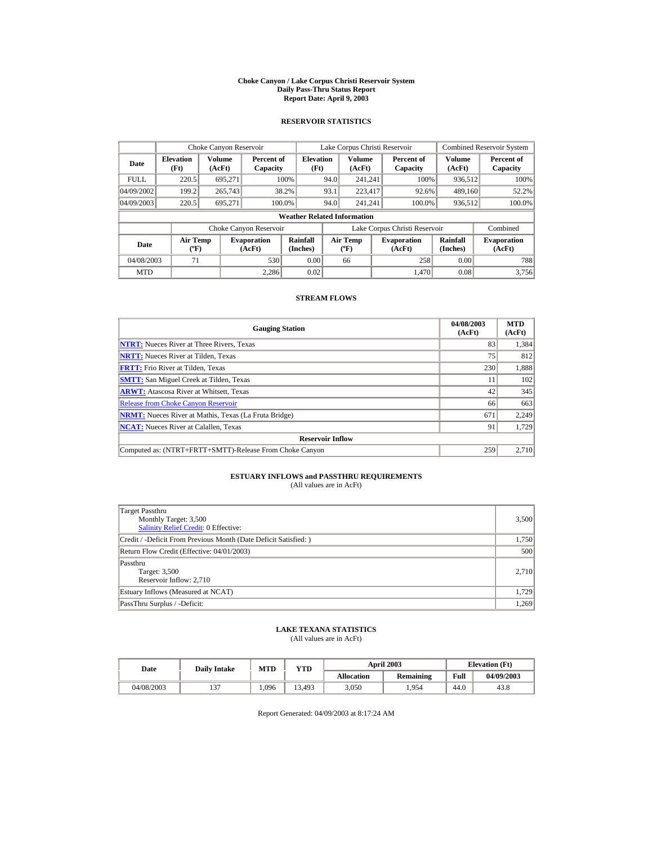#### **Choke Canyon / Lake Corpus Christi Reservoir System Daily Pass-Thru Status Report Report Date: April 9, 2003**

### **RESERVOIR STATISTICS**

|             | Choke Canyon Reservoir                      |                  |                              |                          | Lake Corpus Christi Reservoir               |                  |  |                               |                      | <b>Combined Reservoir System</b> |  |  |
|-------------|---------------------------------------------|------------------|------------------------------|--------------------------|---------------------------------------------|------------------|--|-------------------------------|----------------------|----------------------------------|--|--|
| Date        | <b>Elevation</b><br>(Ft)                    | Volume<br>(AcFt) | Percent of<br>Capacity       | <b>Elevation</b><br>(Ft) |                                             | Volume<br>(AcFt) |  | Percent of<br>Capacity        | Volume<br>(AcFt)     | Percent of<br>Capacity           |  |  |
| <b>FULL</b> | 220.5                                       | 695.271          |                              | 100%                     | 94.0                                        | 241.241          |  | 100%                          | 936,512              | 100%                             |  |  |
| 04/09/2002  | 199.2                                       | 265,743          |                              | 38.2%                    | 93.1                                        | 223,417          |  | 92.6%                         | 489,160              | 52.2%                            |  |  |
| 04/09/2003  | 220.5                                       | 695.271          |                              | 100.0%                   | 94.0                                        | 241.241          |  | 100.0%                        | 936,512              | 100.0%                           |  |  |
|             | <b>Weather Related Information</b>          |                  |                              |                          |                                             |                  |  |                               |                      |                                  |  |  |
|             |                                             |                  | Choke Canyon Reservoir       |                          |                                             |                  |  | Lake Corpus Christi Reservoir |                      | Combined                         |  |  |
| Date        | <b>Air Temp</b><br>$({}^{\circ}\mathrm{F})$ |                  | <b>Evaporation</b><br>(AcFt) | Rainfall<br>(Inches)     | <b>Air Temp</b><br>$({}^{\circ}\mathbf{F})$ |                  |  | <b>Evaporation</b><br>(AcFt)  | Rainfall<br>(Inches) | <b>Evaporation</b><br>(AcFt)     |  |  |
| 04/08/2003  | 71                                          |                  | 530                          | 0.00                     |                                             | 66               |  | 258                           | 0.00                 | 788                              |  |  |
| <b>MTD</b>  |                                             |                  | 2.286                        | 0.02                     |                                             |                  |  | 1.470                         | 0.08                 | 3.756                            |  |  |

### **STREAM FLOWS**

| <b>Gauging Station</b>                                       | 04/08/2003<br>(AcFt) | <b>MTD</b><br>(AcFt) |
|--------------------------------------------------------------|----------------------|----------------------|
| <b>NTRT:</b> Nueces River at Three Rivers, Texas             | 83                   | 1,384                |
| <b>NRTT:</b> Nueces River at Tilden. Texas                   | 75                   | 812                  |
| <b>FRTT:</b> Frio River at Tilden, Texas                     | 230                  | 1,888                |
| <b>SMTT:</b> San Miguel Creek at Tilden, Texas               | 11                   | 102                  |
| <b>ARWT:</b> Atascosa River at Whitsett, Texas               | 42                   | 345                  |
| <b>Release from Choke Canyon Reservoir</b>                   | 66                   | 663                  |
| <b>NRMT:</b> Nueces River at Mathis, Texas (La Fruta Bridge) | 671                  | 2,249                |
| <b>NCAT:</b> Nueces River at Calallen, Texas                 | 91                   | 1.729                |
| <b>Reservoir Inflow</b>                                      |                      |                      |
| Computed as: (NTRT+FRTT+SMTT)-Release From Choke Canyon      | 259                  | 2.710                |

# **ESTUARY INFLOWS and PASSTHRU REQUIREMENTS**<br>(All values are in AcFt)

| Target Passthru<br>Monthly Target: 3,500<br><b>Salinity Relief Credit: 0 Effective:</b> | 3,500 |
|-----------------------------------------------------------------------------------------|-------|
| Credit / -Deficit From Previous Month (Date Deficit Satisfied:)                         | 1,750 |
| Return Flow Credit (Effective: 04/01/2003)                                              | 500   |
| Passthru<br>Target: 3,500<br>Reservoir Inflow: 2,710                                    | 2,710 |
| Estuary Inflows (Measured at NCAT)                                                      | 1,729 |
| PassThru Surplus / -Deficit:                                                            | 1,269 |

## **LAKE TEXANA STATISTICS**

(All values are in AcFt)

| Date       | <b>Daily Intake</b> | MTD  | $_{\rm VTD}$ |                   | <b>April 2003</b> |      | <b>Elevation</b> (Ft) |
|------------|---------------------|------|--------------|-------------------|-------------------|------|-----------------------|
|            |                     |      |              | <b>Allocation</b> | Remaining         | Full | 04/09/2003            |
| 04/08/2003 | $\sim$              | .096 | 13,493       | 3,050             | 1.954             | 44.0 | 43.8                  |

Report Generated: 04/09/2003 at 8:17:24 AM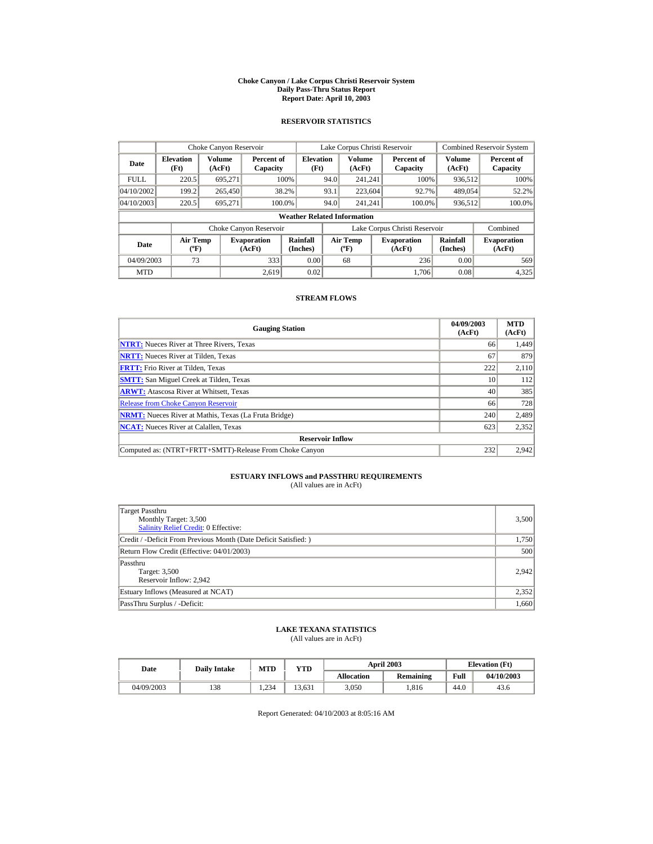#### **Choke Canyon / Lake Corpus Christi Reservoir System Daily Pass-Thru Status Report Report Date: April 10, 2003**

### **RESERVOIR STATISTICS**

|             | Choke Canyon Reservoir                |                  |                              |                          | Lake Corpus Christi Reservoir |                                   |  |                               |                      | <b>Combined Reservoir System</b> |  |  |
|-------------|---------------------------------------|------------------|------------------------------|--------------------------|-------------------------------|-----------------------------------|--|-------------------------------|----------------------|----------------------------------|--|--|
| Date        | <b>Elevation</b><br>(Ft)              | Volume<br>(AcFt) | Percent of<br>Capacity       | <b>Elevation</b><br>(Ft) |                               | <b>Volume</b><br>(AcFt)           |  | Percent of<br>Capacity        | Volume<br>(AcFt)     | Percent of<br>Capacity           |  |  |
| <b>FULL</b> | 220.5                                 | 695.271          |                              | 100%                     | 94.0                          | 241.241                           |  | 100%                          | 936,512              | 100%                             |  |  |
| 04/10/2002  | 199.2                                 | 265,450          |                              | 38.2%                    | 93.1                          | 223,604                           |  | 92.7%                         | 489,054              | 52.2%                            |  |  |
| 04/10/2003  | 220.5                                 | 695.271          |                              | 100.0%                   | 94.0                          | 241.241                           |  | 100.0%                        | 936,512              | 100.0%                           |  |  |
|             | <b>Weather Related Information</b>    |                  |                              |                          |                               |                                   |  |                               |                      |                                  |  |  |
|             |                                       |                  | Choke Canyon Reservoir       |                          |                               |                                   |  | Lake Corpus Christi Reservoir |                      | Combined                         |  |  |
| Date        | <b>Air Temp</b><br>$({}^o\mathrm{F})$ |                  | <b>Evaporation</b><br>(AcFt) | Rainfall<br>(Inches)     |                               | Air Temp<br>$({}^{\circ}{\rm F})$ |  | <b>Evaporation</b><br>(AcFt)  | Rainfall<br>(Inches) | <b>Evaporation</b><br>(AcFt)     |  |  |
| 04/09/2003  | 73                                    |                  | 333                          | 0.00                     |                               | 68                                |  | 236                           | 0.00                 | 569                              |  |  |
| <b>MTD</b>  |                                       |                  | 2.619                        | 0.02                     |                               |                                   |  | 1.706                         | 0.08                 | 4.325                            |  |  |

### **STREAM FLOWS**

| <b>Gauging Station</b>                                       | 04/09/2003<br>(AcFt) | <b>MTD</b><br>(AcFt) |
|--------------------------------------------------------------|----------------------|----------------------|
| <b>NTRT:</b> Nueces River at Three Rivers, Texas             | 66                   | 1,449                |
| <b>NRTT:</b> Nueces River at Tilden. Texas                   | 67                   | 879                  |
| <b>FRTT:</b> Frio River at Tilden, Texas                     | 222                  | 2.110                |
| <b>SMTT:</b> San Miguel Creek at Tilden, Texas               | 10                   | 112                  |
| <b>ARWT:</b> Atascosa River at Whitsett, Texas               | 40                   | 385                  |
| <b>Release from Choke Canyon Reservoir</b>                   | 66                   | 728                  |
| <b>NRMT:</b> Nueces River at Mathis, Texas (La Fruta Bridge) | 240                  | 2,489                |
| <b>NCAT:</b> Nueces River at Calallen, Texas                 | 623                  | 2,352                |
| <b>Reservoir Inflow</b>                                      |                      |                      |
| Computed as: (NTRT+FRTT+SMTT)-Release From Choke Canyon      | 232                  | 2,942                |

# **ESTUARY INFLOWS and PASSTHRU REQUIREMENTS**<br>(All values are in AcFt)

| Target Passthru<br>Monthly Target: 3,500<br><b>Salinity Relief Credit: 0 Effective:</b> | 3,500 |
|-----------------------------------------------------------------------------------------|-------|
| Credit / -Deficit From Previous Month (Date Deficit Satisfied:)                         | 1,750 |
| Return Flow Credit (Effective: 04/01/2003)                                              | 500   |
| Passthru<br>Target: 3,500<br>Reservoir Inflow: 2,942                                    | 2.942 |
| Estuary Inflows (Measured at NCAT)                                                      | 2,352 |
| PassThru Surplus / -Deficit:                                                            | 1,660 |

## **LAKE TEXANA STATISTICS**

(All values are in AcFt)

| Date       | <b>Daily Intake</b> | <b>MTD</b> | YTD    |                   | <b>April 2003</b> | <b>Elevation</b> (Ft) |            |
|------------|---------------------|------------|--------|-------------------|-------------------|-----------------------|------------|
|            |                     |            |        | <b>Allocation</b> | Remaining         | Full                  | 04/10/2003 |
| 04/09/2003 | 138                 | 1.234      | 13.631 | 3.050             | .816              | 44.0                  | 43.6       |

Report Generated: 04/10/2003 at 8:05:16 AM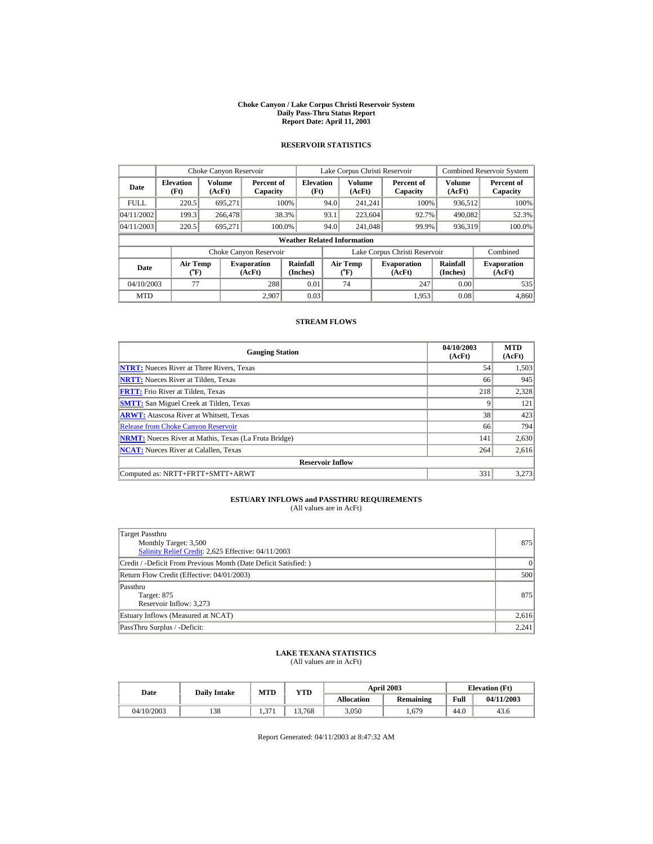#### **Choke Canyon / Lake Corpus Christi Reservoir System Daily Pass-Thru Status Report Report Date: April 11, 2003**

## **RESERVOIR STATISTICS**

|             | Choke Canyon Reservoir                |                  |                              |                                    | Lake Corpus Christi Reservoir |                                |  |                               |                         | <b>Combined Reservoir System</b> |
|-------------|---------------------------------------|------------------|------------------------------|------------------------------------|-------------------------------|--------------------------------|--|-------------------------------|-------------------------|----------------------------------|
| Date        | <b>Elevation</b><br>(Ft)              | Volume<br>(AcFt) | Percent of<br>Capacity       | <b>Elevation</b><br>(Ft)           |                               | <b>Volume</b><br>(AcFt)        |  | Percent of<br>Capacity        | <b>Volume</b><br>(AcFt) | Percent of<br>Capacity           |
| <b>FULL</b> | 220.5                                 | 695.271          |                              | 100%                               | 94.0                          | 241.241                        |  | 100%                          | 936,512                 | 100%                             |
| 04/11/2002  | 199.3                                 | 266,478          |                              | 38.3%                              | 93.1                          | 223,604                        |  | 92.7%                         | 490,082                 | 52.3%                            |
| 04/11/2003  | 220.5                                 | 695.271          |                              | 100.0%                             | 94.0                          | 241,048                        |  | 99.9%                         | 936,319                 | 100.0%                           |
|             |                                       |                  |                              | <b>Weather Related Information</b> |                               |                                |  |                               |                         |                                  |
|             |                                       |                  | Choke Canyon Reservoir       |                                    |                               |                                |  | Lake Corpus Christi Reservoir |                         | Combined                         |
| Date        | <b>Air Temp</b><br>$({}^o\mathrm{F})$ |                  | <b>Evaporation</b><br>(AcFt) | Rainfall<br>(Inches)               |                               | Air Temp<br>$({}^o\mathrm{F})$ |  | <b>Evaporation</b><br>(AcFt)  | Rainfall<br>(Inches)    | <b>Evaporation</b><br>(AcFt)     |
| 04/10/2003  | 77                                    |                  | 288                          | 0.01                               |                               | 74                             |  | 247                           | 0.00                    | 535                              |
| <b>MTD</b>  |                                       |                  | 2.907                        | 0.03                               |                               |                                |  | 1,953                         | 0.08                    | 4,860                            |

#### **STREAM FLOWS**

| <b>Gauging Station</b>                                       | 04/10/2003<br>(AcFt) | <b>MTD</b><br>(AcFt) |
|--------------------------------------------------------------|----------------------|----------------------|
| <b>NTRT:</b> Nueces River at Three Rivers, Texas             | 54                   | 1,503                |
| <b>NRTT:</b> Nueces River at Tilden, Texas                   | 66                   | 945                  |
| <b>FRTT:</b> Frio River at Tilden, Texas                     | 218                  | 2,328                |
| <b>SMTT:</b> San Miguel Creek at Tilden, Texas               | 9                    | 121                  |
| <b>ARWT:</b> Atascosa River at Whitsett, Texas               | 38                   | 423                  |
| <b>Release from Choke Canyon Reservoir</b>                   | 66                   | 794                  |
| <b>NRMT:</b> Nueces River at Mathis, Texas (La Fruta Bridge) | 141                  | 2,630                |
| <b>NCAT:</b> Nueces River at Calallen. Texas                 | 264                  | 2,616                |
| <b>Reservoir Inflow</b>                                      |                      |                      |
| Computed as: NRTT+FRTT+SMTT+ARWT                             | 331                  | 3,273                |

# **ESTUARY INFLOWS and PASSTHRU REQUIREMENTS**<br>(All values are in AcFt)

| Target Passthru<br>Monthly Target: 3,500<br>Salinity Relief Credit: 2,625 Effective: 04/11/2003 | 875      |
|-------------------------------------------------------------------------------------------------|----------|
| Credit / -Deficit From Previous Month (Date Deficit Satisfied:)                                 | $\Omega$ |
| Return Flow Credit (Effective: 04/01/2003)                                                      | 500      |
| Passthru<br>Target: 875<br>Reservoir Inflow: 3,273                                              | 875      |
| Estuary Inflows (Measured at NCAT)                                                              | 2,616    |
| PassThru Surplus / -Deficit:                                                                    | 2,241    |

# **LAKE TEXANA STATISTICS** (All values are in AcFt)

| Date       | <b>Daily Intake</b> | <b>MTD</b> | YTD    |                   | <b>April 2003</b> |      | <b>Elevation</b> (Ft) |
|------------|---------------------|------------|--------|-------------------|-------------------|------|-----------------------|
|            |                     |            |        | <b>Allocation</b> | <b>Remaining</b>  | Full | 04/11/2003            |
| 04/10/2003 | 138                 | 1.371      | 13.768 | 3,050             | . 679             | 44.0 | 43.6                  |

Report Generated: 04/11/2003 at 8:47:32 AM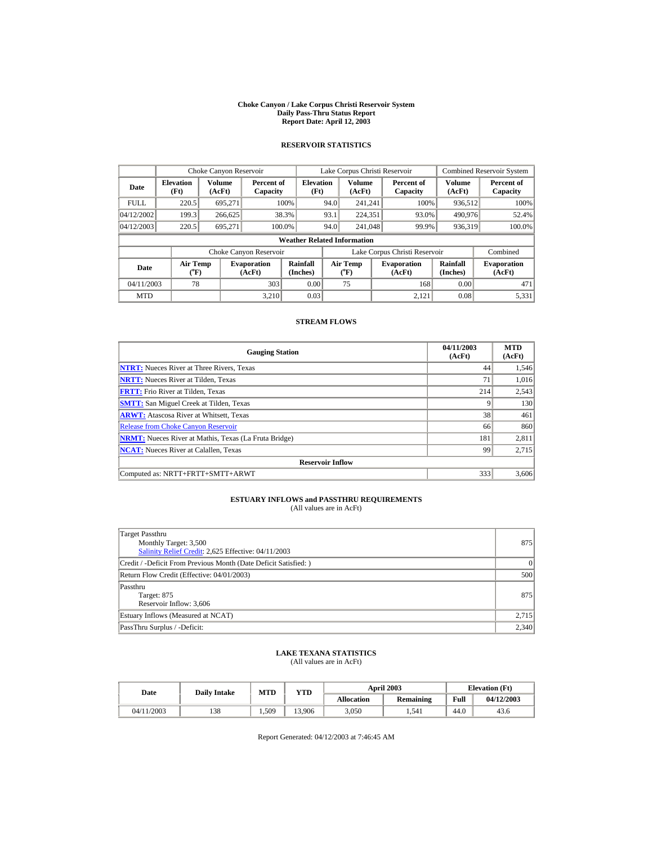#### **Choke Canyon / Lake Corpus Christi Reservoir System Daily Pass-Thru Status Report Report Date: April 12, 2003**

## **RESERVOIR STATISTICS**

|             | Choke Canyon Reservoir                |                  |                              |                                    | Lake Corpus Christi Reservoir |                                |  |                               |                             | <b>Combined Reservoir System</b> |
|-------------|---------------------------------------|------------------|------------------------------|------------------------------------|-------------------------------|--------------------------------|--|-------------------------------|-----------------------------|----------------------------------|
| Date        | <b>Elevation</b><br>(Ft)              | Volume<br>(AcFt) | Percent of<br>Capacity       | <b>Elevation</b><br>(Ft)           |                               | <b>Volume</b><br>(AcFt)        |  | Percent of<br>Capacity        | <b>Volume</b><br>(AcFt)     | Percent of<br>Capacity           |
| <b>FULL</b> | 220.5                                 | 695.271          |                              | 100%                               | 94.0                          | 241.241                        |  | 100%                          | 936,512                     | 100%                             |
| 04/12/2002  | 199.3                                 | 266,625          |                              | 38.3%                              | 93.1                          | 224,351                        |  | 93.0%                         | 490,976                     | 52.4%                            |
| 04/12/2003  | 220.5                                 | 695,271          |                              | 100.0%                             | 94.0                          | 241,048                        |  | 99.9%                         | 936,319                     | 100.0%                           |
|             |                                       |                  |                              | <b>Weather Related Information</b> |                               |                                |  |                               |                             |                                  |
|             |                                       |                  | Choke Canyon Reservoir       |                                    |                               |                                |  | Lake Corpus Christi Reservoir |                             | Combined                         |
| <b>Date</b> | <b>Air Temp</b><br>$({}^o\mathrm{F})$ |                  | <b>Evaporation</b><br>(AcFt) | <b>Rainfall</b><br>(Inches)        |                               | Air Temp<br>$({}^o\mathrm{F})$ |  | <b>Evaporation</b><br>(AcFt)  | <b>Rainfall</b><br>(Inches) | <b>Evaporation</b><br>(AcFt)     |
| 04/11/2003  | 78                                    |                  | 303                          | 0.00                               |                               | 75                             |  | 168                           | 0.00                        | 471                              |
| <b>MTD</b>  |                                       |                  | 3.210                        | 0.03                               |                               |                                |  | 2.121                         | 0.08                        | 5,331                            |

#### **STREAM FLOWS**

| <b>Gauging Station</b>                                       | 04/11/2003<br>(AcFt) | <b>MTD</b><br>(AcFt) |
|--------------------------------------------------------------|----------------------|----------------------|
| <b>NTRT:</b> Nueces River at Three Rivers, Texas             | 44                   | 1,546                |
| <b>NRTT:</b> Nueces River at Tilden, Texas                   | 71                   | 1,016                |
| <b>FRTT:</b> Frio River at Tilden, Texas                     | 214                  | 2,543                |
| <b>SMTT:</b> San Miguel Creek at Tilden, Texas               | 9                    | 130                  |
| <b>ARWT:</b> Atascosa River at Whitsett, Texas               | 38                   | 461                  |
| <b>Release from Choke Canyon Reservoir</b>                   | 66                   | 860                  |
| <b>NRMT:</b> Nueces River at Mathis, Texas (La Fruta Bridge) | 181                  | 2,811                |
| <b>NCAT:</b> Nueces River at Calallen, Texas                 | 99                   | 2,715                |
| <b>Reservoir Inflow</b>                                      |                      |                      |
| Computed as: NRTT+FRTT+SMTT+ARWT                             | 333                  | 3,606                |

# **ESTUARY INFLOWS and PASSTHRU REQUIREMENTS**<br>(All values are in AcFt)

| Target Passthru<br>Monthly Target: 3,500<br>Salinity Relief Credit: 2,625 Effective: 04/11/2003 | 875      |
|-------------------------------------------------------------------------------------------------|----------|
| Credit / -Deficit From Previous Month (Date Deficit Satisfied:)                                 | $\Omega$ |
| Return Flow Credit (Effective: 04/01/2003)                                                      | 500      |
| Passthru<br>Target: 875<br>Reservoir Inflow: 3,606                                              | 875      |
| Estuary Inflows (Measured at NCAT)                                                              | 2,715    |
| PassThru Surplus / -Deficit:                                                                    | 2,340    |

# **LAKE TEXANA STATISTICS** (All values are in AcFt)

| Date       | <b>Daily Intake</b> | <b>MTD</b> | YTD    |                   | <b>April 2003</b> |      | <b>Elevation</b> (Ft) |
|------------|---------------------|------------|--------|-------------------|-------------------|------|-----------------------|
|            |                     |            |        | <b>Allocation</b> | <b>Remaining</b>  | Full | 04/12/2003            |
| 04/11/2003 | 138                 | 1,509      | 13.906 | 3,050             | l.541             | 44.0 | 43.6                  |

Report Generated: 04/12/2003 at 7:46:45 AM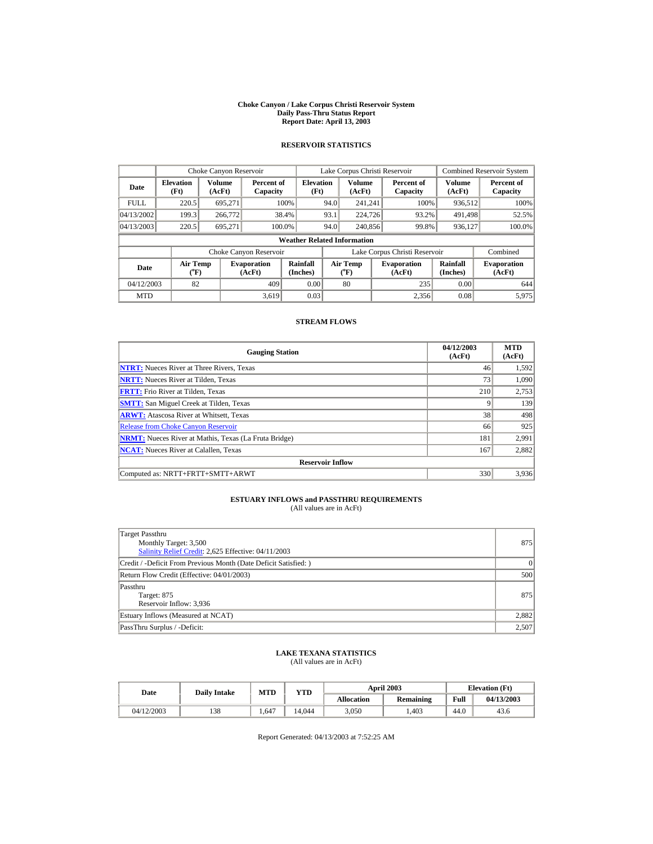#### **Choke Canyon / Lake Corpus Christi Reservoir System Daily Pass-Thru Status Report Report Date: April 13, 2003**

## **RESERVOIR STATISTICS**

|             | Choke Canyon Reservoir                |                  |                              |                                    | Lake Corpus Christi Reservoir |                                  |  |                               |                         | <b>Combined Reservoir System</b> |
|-------------|---------------------------------------|------------------|------------------------------|------------------------------------|-------------------------------|----------------------------------|--|-------------------------------|-------------------------|----------------------------------|
| Date        | <b>Elevation</b><br>(Ft)              | Volume<br>(AcFt) | Percent of<br>Capacity       | <b>Elevation</b><br>(Ft)           |                               | <b>Volume</b><br>(AcFt)          |  | Percent of<br>Capacity        | <b>Volume</b><br>(AcFt) | Percent of<br>Capacity           |
| <b>FULL</b> | 220.5                                 | 695.271          |                              | 100%                               | 94.0                          | 241.241                          |  | 100%                          | 936,512                 | 100%                             |
| 04/13/2002  | 199.3                                 | 266,772          |                              | 38.4%                              | 93.1                          | 224,726                          |  | 93.2%                         | 491,498                 | 52.5%                            |
| 04/13/2003  | 220.5                                 | 695.271          |                              | 100.0%                             | 94.0                          | 240,856                          |  | 99.8%                         | 936,127                 | 100.0%                           |
|             |                                       |                  |                              | <b>Weather Related Information</b> |                               |                                  |  |                               |                         |                                  |
|             |                                       |                  | Choke Canyon Reservoir       |                                    |                               |                                  |  | Lake Corpus Christi Reservoir |                         | Combined                         |
| Date        | <b>Air Temp</b><br>$({}^o\mathrm{F})$ |                  | <b>Evaporation</b><br>(AcFt) | Rainfall<br>(Inches)               |                               | Air Temp<br>$(^{\circ}\text{F})$ |  | <b>Evaporation</b><br>(AcFt)  | Rainfall<br>(Inches)    | <b>Evaporation</b><br>(AcFt)     |
| 04/12/2003  | 82                                    |                  | 409                          | 0.00                               |                               | 80                               |  | 235                           | 0.00                    | 644                              |
| <b>MTD</b>  |                                       |                  | 3.619                        | 0.03                               |                               |                                  |  | 2,356                         | 0.08                    | 5,975                            |

#### **STREAM FLOWS**

| <b>Gauging Station</b>                                       | 04/12/2003<br>(AcFt) | <b>MTD</b><br>(AcFt) |
|--------------------------------------------------------------|----------------------|----------------------|
| <b>NTRT:</b> Nueces River at Three Rivers, Texas             | 46                   | 1,592                |
| <b>NRTT:</b> Nueces River at Tilden, Texas                   | 73                   | 1,090                |
| <b>FRTT:</b> Frio River at Tilden, Texas                     | 210                  | 2,753                |
| <b>SMTT:</b> San Miguel Creek at Tilden, Texas               | 9                    | 139                  |
| <b>ARWT:</b> Atascosa River at Whitsett, Texas               | 38                   | 498                  |
| <b>Release from Choke Canyon Reservoir</b>                   | 66                   | 925                  |
| <b>NRMT:</b> Nueces River at Mathis, Texas (La Fruta Bridge) | 181                  | 2.991                |
| <b>NCAT:</b> Nueces River at Calallen, Texas                 | 167                  | 2,882                |
| <b>Reservoir Inflow</b>                                      |                      |                      |
| Computed as: NRTT+FRTT+SMTT+ARWT                             | 330                  | 3,936                |

# **ESTUARY INFLOWS and PASSTHRU REQUIREMENTS**<br>(All values are in AcFt)

| Target Passthru<br>Monthly Target: 3,500<br>Salinity Relief Credit: 2,625 Effective: 04/11/2003 | 875      |
|-------------------------------------------------------------------------------------------------|----------|
| Credit / -Deficit From Previous Month (Date Deficit Satisfied:)                                 | $\Omega$ |
| Return Flow Credit (Effective: 04/01/2003)                                                      | 500      |
| Passthru<br>Target: 875<br>Reservoir Inflow: 3,936                                              | 875      |
| Estuary Inflows (Measured at NCAT)                                                              | 2,882    |
| PassThru Surplus / -Deficit:                                                                    | 2,507    |

## **LAKE TEXANA STATISTICS** (All values are in AcFt)

| Date       | <b>Daily Intake</b> | MTD | $_{\rm VTD}$ |            | <b>April 2003</b> |      | <b>Elevation</b> (Ft) |
|------------|---------------------|-----|--------------|------------|-------------------|------|-----------------------|
|            |                     |     |              | Allocation | Remaining         | Full | 04/13/2003            |
| 04/12/2003 | 138                 | 647 | 14.044       | 3.050      | .403              | 44.0 | 43.6                  |

Report Generated: 04/13/2003 at 7:52:25 AM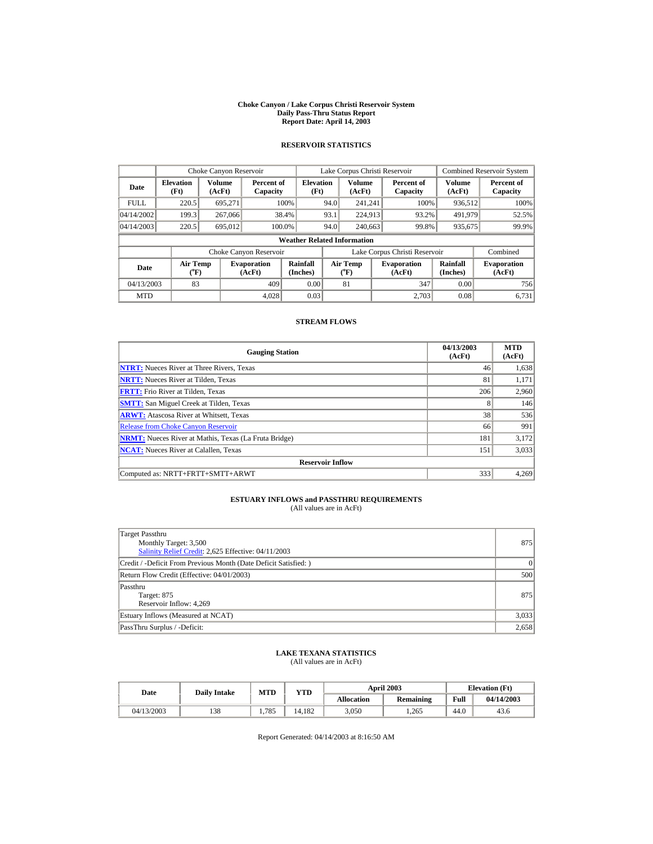#### **Choke Canyon / Lake Corpus Christi Reservoir System Daily Pass-Thru Status Report Report Date: April 14, 2003**

## **RESERVOIR STATISTICS**

|             | Choke Canyon Reservoir                           |                  |                              |                                    | Lake Corpus Christi Reservoir |                                           |  |                               |                             | <b>Combined Reservoir System</b> |
|-------------|--------------------------------------------------|------------------|------------------------------|------------------------------------|-------------------------------|-------------------------------------------|--|-------------------------------|-----------------------------|----------------------------------|
| Date        | <b>Elevation</b><br>(Ft)                         | Volume<br>(AcFt) | Percent of<br>Capacity       | <b>Elevation</b><br>(Ft)           |                               | <b>Volume</b><br>(AcFt)                   |  | Percent of<br>Capacity        | <b>Volume</b><br>(AcFt)     | Percent of<br>Capacity           |
| <b>FULL</b> | 220.5                                            | 695.271          |                              | 100%                               | 94.0                          | 241.241                                   |  | 100%                          | 936,512                     | 100%                             |
| 04/14/2002  | 199.3                                            | 267,066          |                              | 38.4%                              | 93.1                          | 224,913                                   |  | 93.2%                         | 491.979                     | 52.5%                            |
| 04/14/2003  | 220.5                                            | 695,012          | 100.0%                       |                                    | 94.0                          | 240,663                                   |  | 99.8%                         | 935,675                     | 99.9%                            |
|             |                                                  |                  |                              | <b>Weather Related Information</b> |                               |                                           |  |                               |                             |                                  |
|             |                                                  |                  | Choke Canyon Reservoir       |                                    |                               |                                           |  | Lake Corpus Christi Reservoir |                             | Combined                         |
| Date        | <b>Air Temp</b><br>$({}^{\mathrm{o}}\mathbf{F})$ |                  | <b>Evaporation</b><br>(AcFt) | <b>Rainfall</b><br>(Inches)        |                               | Air Temp<br>$({}^{\mathrm{o}}\mathrm{F})$ |  | <b>Evaporation</b><br>(AcFt)  | <b>Rainfall</b><br>(Inches) | <b>Evaporation</b><br>(AcFt)     |
| 04/13/2003  | 83                                               |                  | 409                          | 0.00                               |                               | 81                                        |  | 347                           | 0.00                        | 756                              |
| <b>MTD</b>  |                                                  |                  | 4.028                        | 0.03                               |                               |                                           |  | 2.703                         | 0.08                        | 6,731                            |

#### **STREAM FLOWS**

| <b>Gauging Station</b>                                       | 04/13/2003<br>(AcFt) | <b>MTD</b><br>(AcFt) |
|--------------------------------------------------------------|----------------------|----------------------|
| <b>NTRT:</b> Nueces River at Three Rivers, Texas             | 46                   | 1,638                |
| <b>NRTT:</b> Nueces River at Tilden, Texas                   | 81                   | 1,171                |
| <b>FRTT:</b> Frio River at Tilden, Texas                     | 206                  | 2,960                |
| <b>SMTT:</b> San Miguel Creek at Tilden, Texas               | 8                    | 146                  |
| <b>ARWT:</b> Atascosa River at Whitsett, Texas               | 38                   | 536                  |
| <b>Release from Choke Canyon Reservoir</b>                   | 66                   | 991                  |
| <b>NRMT:</b> Nueces River at Mathis, Texas (La Fruta Bridge) | 181                  | 3.172                |
| <b>NCAT:</b> Nueces River at Calallen, Texas                 | 151                  | 3,033                |
| <b>Reservoir Inflow</b>                                      |                      |                      |
| Computed as: NRTT+FRTT+SMTT+ARWT                             | 333                  | 4,269                |

# **ESTUARY INFLOWS and PASSTHRU REQUIREMENTS**<br>(All values are in AcFt)

| Target Passthru<br>Monthly Target: 3,500<br>Salinity Relief Credit: 2,625 Effective: 04/11/2003 | 875      |
|-------------------------------------------------------------------------------------------------|----------|
| Credit / -Deficit From Previous Month (Date Deficit Satisfied:)                                 | $\Omega$ |
| Return Flow Credit (Effective: 04/01/2003)                                                      | 500      |
| Passthru<br>Target: 875<br>Reservoir Inflow: 4,269                                              | 875      |
| Estuary Inflows (Measured at NCAT)                                                              | 3,033    |
| PassThru Surplus / -Deficit:                                                                    | 2,658    |

# **LAKE TEXANA STATISTICS** (All values are in AcFt)

| Date       | <b>Daily Intake</b> | <b>MTD</b> | YTD    |                   | <b>April 2003</b> |      | <b>Elevation</b> (Ft) |
|------------|---------------------|------------|--------|-------------------|-------------------|------|-----------------------|
|            |                     |            |        | <b>Allocation</b> | <b>Remaining</b>  | Full | 04/14/2003            |
| 04/13/2003 | 138                 | 1.785      | 14.182 | 3,050             | .265              | 44.0 | 43.6                  |

Report Generated: 04/14/2003 at 8:16:50 AM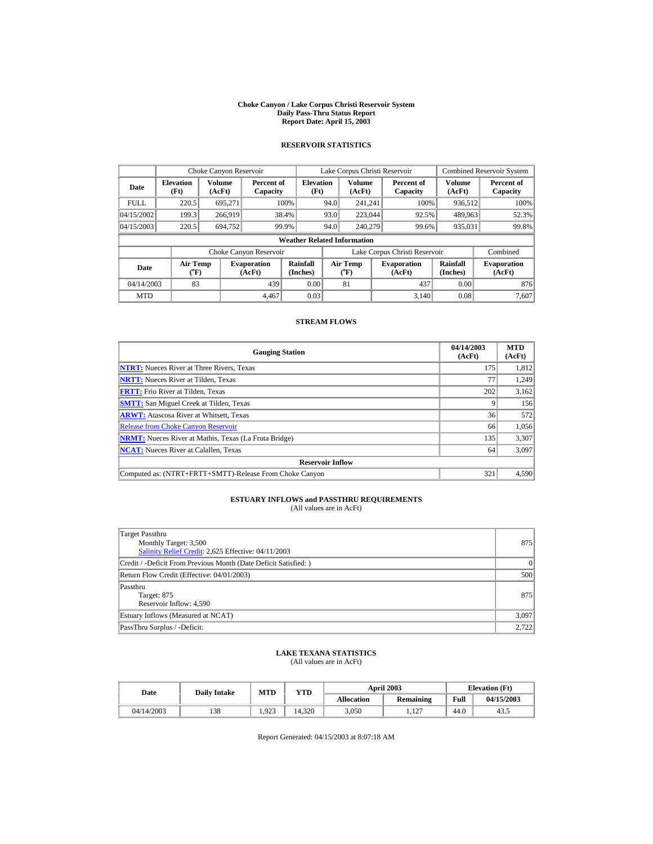#### **Choke Canyon / Lake Corpus Christi Reservoir System Daily Pass-Thru Status Report Report Date: April 15, 2003**

## **RESERVOIR STATISTICS**

|             | Choke Canyon Reservoir                |                  |                              |                                    | Lake Corpus Christi Reservoir |                                  |  |                               |                         | <b>Combined Reservoir System</b> |
|-------------|---------------------------------------|------------------|------------------------------|------------------------------------|-------------------------------|----------------------------------|--|-------------------------------|-------------------------|----------------------------------|
| Date        | <b>Elevation</b><br>(Ft)              | Volume<br>(AcFt) | Percent of<br>Capacity       | <b>Elevation</b><br>(Ft)           |                               | <b>Volume</b><br>(AcFt)          |  | Percent of<br>Capacity        | <b>Volume</b><br>(AcFt) | Percent of<br>Capacity           |
| <b>FULL</b> | 220.5                                 | 695.271          |                              | 100%                               | 94.0                          | 241.241                          |  | 100%                          | 936,512                 | 100%                             |
| 04/15/2002  | 199.3                                 | 266,919          |                              | 38.4%                              | 93.0                          | 223,044                          |  | 92.5%                         | 489,963                 | 52.3%                            |
| 04/15/2003  | 220.5                                 | 694,752          |                              | 99.9%                              | 94.0                          | 240,279                          |  | 99.6%                         | 935,031                 | 99.8%                            |
|             |                                       |                  |                              | <b>Weather Related Information</b> |                               |                                  |  |                               |                         |                                  |
|             |                                       |                  | Choke Canyon Reservoir       |                                    |                               |                                  |  | Lake Corpus Christi Reservoir |                         | Combined                         |
| Date        | <b>Air Temp</b><br>$({}^o\mathrm{F})$ |                  | <b>Evaporation</b><br>(AcFt) | Rainfall<br>(Inches)               |                               | Air Temp<br>$(^{\circ}\text{F})$ |  | <b>Evaporation</b><br>(AcFt)  | Rainfall<br>(Inches)    | <b>Evaporation</b><br>(AcFt)     |
| 04/14/2003  | 83                                    |                  | 439                          | 0.00                               |                               | 81                               |  | 437                           | 0.00                    | 876                              |
| <b>MTD</b>  |                                       |                  | 4.467                        | 0.03                               |                               |                                  |  | 3.140                         | 0.08                    | 7,607                            |

#### **STREAM FLOWS**

| <b>Gauging Station</b>                                       | 04/14/2003<br>(AcFt) | <b>MTD</b><br>(AcFt) |
|--------------------------------------------------------------|----------------------|----------------------|
| <b>NTRT:</b> Nueces River at Three Rivers, Texas             | 175                  | 1,812                |
| <b>NRTT:</b> Nueces River at Tilden, Texas                   | 77                   | 1,249                |
| <b>FRTT:</b> Frio River at Tilden. Texas                     | 202                  | 3,162                |
| <b>SMTT:</b> San Miguel Creek at Tilden, Texas               |                      | 156                  |
| <b>ARWT:</b> Atascosa River at Whitsett, Texas               | 36                   | 572                  |
| <b>Release from Choke Canyon Reservoir</b>                   | 66                   | 1,056                |
| <b>NRMT:</b> Nueces River at Mathis, Texas (La Fruta Bridge) | 135                  | 3,307                |
| <b>NCAT:</b> Nueces River at Calallen, Texas                 | 64                   | 3,097                |
| <b>Reservoir Inflow</b>                                      |                      |                      |
| Computed as: (NTRT+FRTT+SMTT)-Release From Choke Canyon      | 321                  | 4,590                |

# **ESTUARY INFLOWS and PASSTHRU REQUIREMENTS**<br>(All values are in AcFt)

| Target Passthru<br>Monthly Target: 3,500<br>Salinity Relief Credit: 2,625 Effective: 04/11/2003 | 875      |
|-------------------------------------------------------------------------------------------------|----------|
| Credit / -Deficit From Previous Month (Date Deficit Satisfied: )                                | $\Omega$ |
| Return Flow Credit (Effective: 04/01/2003)                                                      | 500      |
| Passthru<br>Target: 875<br>Reservoir Inflow: 4,590                                              | 875      |
| Estuary Inflows (Measured at NCAT)                                                              | 3,097    |
| PassThru Surplus / -Deficit:                                                                    | 2,722    |

# **LAKE TEXANA STATISTICS** (All values are in AcFt)

| Date       | <b>Daily Intake</b> | <b>MTD</b> | YTD    |            | <b>April 2003</b> | <b>Elevation</b> (Ft) |            |
|------------|---------------------|------------|--------|------------|-------------------|-----------------------|------------|
|            |                     |            |        | Allocation | Remaining         | Full                  | 04/15/2003 |
| 04/14/2003 | 138                 | 1.923      | 14.320 | 3,050      | 1,127             | 44.0                  | 43.5       |

Report Generated: 04/15/2003 at 8:07:18 AM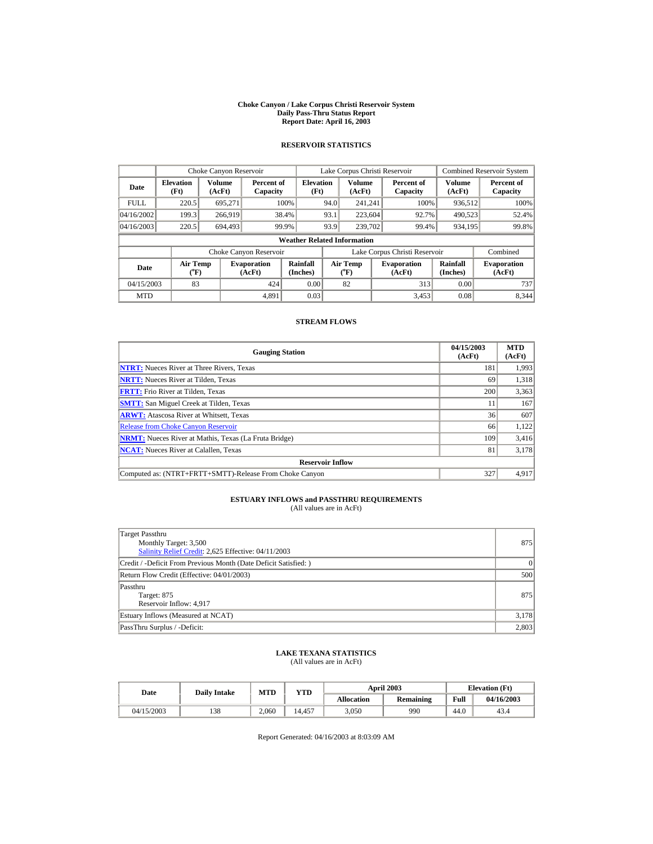#### **Choke Canyon / Lake Corpus Christi Reservoir System Daily Pass-Thru Status Report Report Date: April 16, 2003**

## **RESERVOIR STATISTICS**

|             | Choke Canyon Reservoir   |                                                                                                                                                                   |                        |                                    | Lake Corpus Christi Reservoir |                              |                               |                        |                         | <b>Combined Reservoir System</b> |
|-------------|--------------------------|-------------------------------------------------------------------------------------------------------------------------------------------------------------------|------------------------|------------------------------------|-------------------------------|------------------------------|-------------------------------|------------------------|-------------------------|----------------------------------|
| Date        | <b>Elevation</b><br>(Ft) | Volume<br>(AcFt)                                                                                                                                                  | Percent of<br>Capacity | <b>Elevation</b><br>(Ft)           |                               | <b>Volume</b><br>(AcFt)      |                               | Percent of<br>Capacity | <b>Volume</b><br>(AcFt) | Percent of<br>Capacity           |
| <b>FULL</b> | 220.5                    | 695.271                                                                                                                                                           |                        | 100%                               | 94.0                          | 241.241                      |                               | 100%                   | 936,512                 | 100%                             |
| 04/16/2002  | 199.3                    | 266,919                                                                                                                                                           |                        | 38.4%                              | 93.1                          | 223,604                      |                               | 92.7%                  | 490,523                 | 52.4%                            |
| 04/16/2003  | 220.5                    | 694.493                                                                                                                                                           |                        | 99.9%                              | 93.9                          | 239,702                      |                               | 99.4%                  | 934,195                 | 99.8%                            |
|             |                          |                                                                                                                                                                   |                        | <b>Weather Related Information</b> |                               |                              |                               |                        |                         |                                  |
|             |                          |                                                                                                                                                                   | Choke Canyon Reservoir |                                    |                               |                              | Lake Corpus Christi Reservoir |                        |                         | Combined                         |
| Date        |                          | Rainfall<br><b>Air Temp</b><br>Air Temp<br><b>Evaporation</b><br><b>Evaporation</b><br>(Inches)<br>(AcFt)<br>$(^{\circ}\text{F})$<br>$({}^o\mathrm{F})$<br>(AcFt) |                        |                                    | Rainfall<br>(Inches)          | <b>Evaporation</b><br>(AcFt) |                               |                        |                         |                                  |
| 04/15/2003  | 83                       |                                                                                                                                                                   | 424                    | 0.00                               |                               | 82                           |                               | 313                    | 0.00                    | 737                              |
| <b>MTD</b>  |                          |                                                                                                                                                                   | 4.891                  | 0.03                               |                               |                              |                               | 3,453                  | 0.08                    | 8,344                            |

#### **STREAM FLOWS**

| <b>Gauging Station</b>                                       | 04/15/2003<br>(AcFt) | <b>MTD</b><br>(AcFt) |
|--------------------------------------------------------------|----------------------|----------------------|
| <b>NTRT:</b> Nueces River at Three Rivers, Texas             | 181                  | 1,993                |
| <b>NRTT:</b> Nueces River at Tilden, Texas                   | 69                   | 1,318                |
| <b>FRTT:</b> Frio River at Tilden, Texas                     | 200                  | 3,363                |
| <b>SMTT:</b> San Miguel Creek at Tilden, Texas               | 11                   | 167                  |
| <b>ARWT:</b> Atascosa River at Whitsett, Texas               | 36                   | 607                  |
| <b>Release from Choke Canyon Reservoir</b>                   | 66                   | 1,122                |
| <b>NRMT:</b> Nueces River at Mathis, Texas (La Fruta Bridge) | 109                  | 3,416                |
| <b>NCAT:</b> Nueces River at Calallen, Texas                 | 81                   | 3,178                |
| <b>Reservoir Inflow</b>                                      |                      |                      |
| Computed as: (NTRT+FRTT+SMTT)-Release From Choke Canyon      | 327                  | 4,917                |

# **ESTUARY INFLOWS and PASSTHRU REQUIREMENTS**<br>(All values are in AcFt)

| Target Passthru<br>Monthly Target: 3,500<br>Salinity Relief Credit: 2,625 Effective: 04/11/2003 | 875      |
|-------------------------------------------------------------------------------------------------|----------|
| Credit / -Deficit From Previous Month (Date Deficit Satisfied: )                                | $\Omega$ |
| Return Flow Credit (Effective: 04/01/2003)                                                      | 500      |
| Passthru<br>Target: 875<br>Reservoir Inflow: 4,917                                              | 875      |
| Estuary Inflows (Measured at NCAT)                                                              | 3,178    |
| PassThru Surplus / -Deficit:                                                                    | 2,803    |

# **LAKE TEXANA STATISTICS** (All values are in AcFt)

| Date       | <b>Daily Intake</b> | <b>MTD</b> | YTD    |            | <b>April 2003</b> |      | <b>Elevation</b> (Ft) |
|------------|---------------------|------------|--------|------------|-------------------|------|-----------------------|
|            |                     |            |        | Allocation | Remaining         | Full | 04/16/2003            |
| 04/15/2003 | 138                 | 2.060      | 14.457 | 3.050      | 990               | 44.0 | 43.4                  |

Report Generated: 04/16/2003 at 8:03:09 AM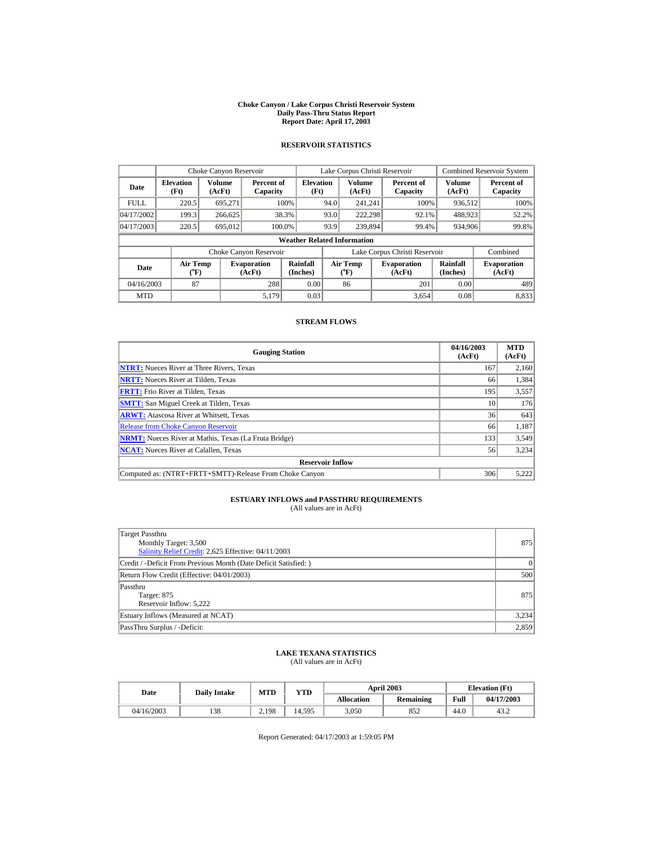#### **Choke Canyon / Lake Corpus Christi Reservoir System Daily Pass-Thru Status Report Report Date: April 17, 2003**

## **RESERVOIR STATISTICS**

|             | Choke Canyon Reservoir                |                  |                              |                                    | Lake Corpus Christi Reservoir |                                |                               |       |                         | <b>Combined Reservoir System</b> |
|-------------|---------------------------------------|------------------|------------------------------|------------------------------------|-------------------------------|--------------------------------|-------------------------------|-------|-------------------------|----------------------------------|
| Date        | <b>Elevation</b><br>(Ft)              | Volume<br>(AcFt) | Percent of<br>Capacity       | <b>Elevation</b><br>(Ft)           |                               | <b>Volume</b><br>(AcFt)        | Percent of<br>Capacity        |       | <b>Volume</b><br>(AcFt) | Percent of<br>Capacity           |
| <b>FULL</b> | 220.5                                 | 695.271          |                              | 100%                               | 94.0                          | 241.241                        |                               | 100%  | 936,512                 | 100%                             |
| 04/17/2002  | 199.3                                 | 266,625          |                              | 38.3%                              | 93.0                          | 222.298                        |                               | 92.1% | 488,923                 | 52.2%                            |
| 04/17/2003  | 220.5                                 | 695,012          |                              | 100.0%                             | 93.9                          | 239,894                        |                               | 99.4% | 934,906                 | 99.8%                            |
|             |                                       |                  |                              | <b>Weather Related Information</b> |                               |                                |                               |       |                         |                                  |
|             |                                       |                  | Choke Canyon Reservoir       |                                    |                               |                                | Lake Corpus Christi Reservoir |       |                         | Combined                         |
| Date        | <b>Air Temp</b><br>$({}^o\mathrm{F})$ |                  | <b>Evaporation</b><br>(AcFt) | <b>Rainfall</b><br>(Inches)        |                               | Air Temp<br>$({}^o\mathrm{F})$ | <b>Evaporation</b><br>(AcFt)  |       | Rainfall<br>(Inches)    | <b>Evaporation</b><br>(AcFt)     |
| 04/16/2003  | 87                                    |                  | 288                          | 0.00                               |                               | 86                             |                               | 201   | 0.00                    | 489                              |
| <b>MTD</b>  |                                       |                  | 5,179                        | 0.03                               |                               |                                |                               | 3.654 | 0.08                    | 8,833                            |

#### **STREAM FLOWS**

| <b>Gauging Station</b>                                       | 04/16/2003<br>(AcFt) | <b>MTD</b><br>(AcFt) |
|--------------------------------------------------------------|----------------------|----------------------|
| <b>NTRT:</b> Nueces River at Three Rivers, Texas             | 167                  | 2,160                |
| <b>NRTT:</b> Nueces River at Tilden, Texas                   | 66                   | 1,384                |
| <b>FRTT:</b> Frio River at Tilden, Texas                     | 195                  | 3,557                |
| <b>SMTT:</b> San Miguel Creek at Tilden, Texas               | 10                   | 176                  |
| <b>ARWT:</b> Atascosa River at Whitsett, Texas               | 36                   | 643                  |
| <b>Release from Choke Canyon Reservoir</b>                   | 66                   | 1,187                |
| <b>NRMT:</b> Nueces River at Mathis, Texas (La Fruta Bridge) | 133                  | 3,549                |
| <b>NCAT:</b> Nueces River at Calallen, Texas                 | 56                   | 3,234                |
| <b>Reservoir Inflow</b>                                      |                      |                      |
| Computed as: (NTRT+FRTT+SMTT)-Release From Choke Canyon      | 306                  | 5.222                |

# **ESTUARY INFLOWS and PASSTHRU REQUIREMENTS**<br>(All values are in AcFt)

| Target Passthru<br>Monthly Target: 3,500<br>Salinity Relief Credit: 2,625 Effective: 04/11/2003 | 875      |
|-------------------------------------------------------------------------------------------------|----------|
| Credit / -Deficit From Previous Month (Date Deficit Satisfied:)                                 | $\Omega$ |
| Return Flow Credit (Effective: 04/01/2003)                                                      | 500      |
| Passthru<br>Target: 875<br>Reservoir Inflow: 5,222                                              | 875      |
| Estuary Inflows (Measured at NCAT)                                                              | 3,234    |
| PassThru Surplus / -Deficit:                                                                    | 2,859    |

# **LAKE TEXANA STATISTICS** (All values are in AcFt)

| Date       | <b>Daily Intake</b> | <b>MTD</b> | YTD    |                   | <b>April 2003</b> |      | <b>Elevation</b> (Ft) |
|------------|---------------------|------------|--------|-------------------|-------------------|------|-----------------------|
|            |                     |            |        | <b>Allocation</b> | <b>Remaining</b>  | Full | 04/17/2003            |
| 04/16/2003 | 138                 | 2.198      | 14.595 | 3,050             | 852               | 44.0 | 43.2                  |

Report Generated: 04/17/2003 at 1:59:05 PM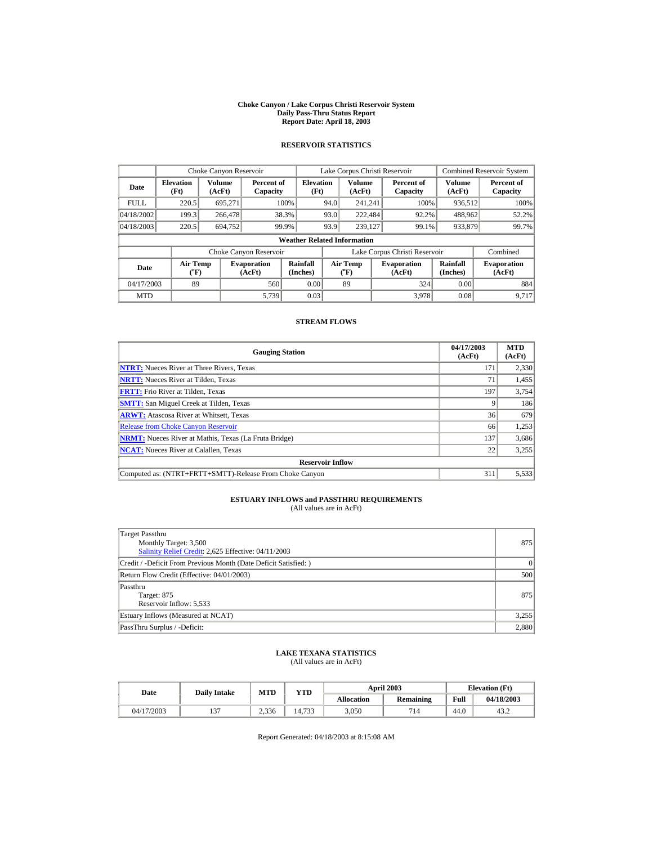#### **Choke Canyon / Lake Corpus Christi Reservoir System Daily Pass-Thru Status Report Report Date: April 18, 2003**

## **RESERVOIR STATISTICS**

|             | Choke Canyon Reservoir         |                  |                              |                                    | Lake Corpus Christi Reservoir |                                  |  |                               |                      | <b>Combined Reservoir System</b> |
|-------------|--------------------------------|------------------|------------------------------|------------------------------------|-------------------------------|----------------------------------|--|-------------------------------|----------------------|----------------------------------|
| Date        | <b>Elevation</b><br>(Ft)       | Volume<br>(AcFt) | Percent of<br>Capacity       | <b>Elevation</b><br>(Ft)           |                               | <b>Volume</b><br>(AcFt)          |  | Percent of<br>Capacity        | Volume<br>(AcFt)     | Percent of<br>Capacity           |
| <b>FULL</b> | 220.5                          | 695.271          |                              | 100%                               | 94.0                          | 241.241                          |  | 100%                          | 936,512              | 100%                             |
| 04/18/2002  | 199.3                          | 266,478          |                              | 38.3%                              | 93.0                          | 222,484                          |  | 92.2%                         | 488,962              | 52.2%                            |
| 04/18/2003  | 220.5                          | 694,752          |                              | 99.9%                              | 93.9                          | 239,127                          |  | 99.1%                         | 933,879              | 99.7%                            |
|             |                                |                  |                              | <b>Weather Related Information</b> |                               |                                  |  |                               |                      |                                  |
|             |                                |                  | Choke Canyon Reservoir       |                                    |                               |                                  |  | Lake Corpus Christi Reservoir |                      | Combined                         |
| Date        | Air Temp<br>$({}^o\mathrm{F})$ |                  | <b>Evaporation</b><br>(AcFt) | Rainfall<br>(Inches)               |                               | Air Temp<br>$(^{\circ}\text{F})$ |  | <b>Evaporation</b><br>(AcFt)  | Rainfall<br>(Inches) | <b>Evaporation</b><br>(AcFt)     |
| 04/17/2003  | 89                             |                  | 560                          | 0.00                               |                               | 89                               |  | 324                           | 0.00                 | 884                              |
| <b>MTD</b>  |                                |                  | 5,739                        | 0.03                               |                               |                                  |  | 3,978                         | 0.08                 | 9,717                            |

#### **STREAM FLOWS**

| <b>Gauging Station</b>                                       | 04/17/2003<br>(AcFt) | <b>MTD</b><br>(AcFt) |
|--------------------------------------------------------------|----------------------|----------------------|
| <b>NTRT:</b> Nueces River at Three Rivers, Texas             | 171                  | 2,330                |
| <b>NRTT:</b> Nueces River at Tilden, Texas                   | 71                   | 1,455                |
| <b>FRTT:</b> Frio River at Tilden, Texas                     | 197                  | 3,754                |
| <b>SMTT:</b> San Miguel Creek at Tilden, Texas               |                      | 186                  |
| <b>ARWT:</b> Atascosa River at Whitsett, Texas               | 36                   | 679                  |
| <b>Release from Choke Canyon Reservoir</b>                   | 66                   | 1,253                |
| <b>NRMT:</b> Nueces River at Mathis, Texas (La Fruta Bridge) | 137                  | 3,686                |
| <b>NCAT:</b> Nueces River at Calallen, Texas                 | 22                   | 3,255                |
| <b>Reservoir Inflow</b>                                      |                      |                      |
| Computed as: (NTRT+FRTT+SMTT)-Release From Choke Canyon      | 311                  | 5,533                |

# **ESTUARY INFLOWS and PASSTHRU REQUIREMENTS**<br>(All values are in AcFt)

| Target Passthru<br>Monthly Target: 3,500<br>Salinity Relief Credit: 2,625 Effective: 04/11/2003 | 875      |
|-------------------------------------------------------------------------------------------------|----------|
| Credit / -Deficit From Previous Month (Date Deficit Satisfied: )                                | $\Omega$ |
| Return Flow Credit (Effective: 04/01/2003)                                                      | 500      |
| Passthru<br>Target: 875<br>Reservoir Inflow: 5,533                                              | 875      |
| Estuary Inflows (Measured at NCAT)                                                              | 3,255    |
| PassThru Surplus / -Deficit:                                                                    | 2,880    |

# **LAKE TEXANA STATISTICS** (All values are in AcFt)

| Date       | <b>Daily Intake</b> |       | MTD<br>YTD |            | <b>April 2003</b> | <b>Elevation</b> (Ft) |            |
|------------|---------------------|-------|------------|------------|-------------------|-----------------------|------------|
|            |                     |       |            | Allocation | Remaining         | Full                  | 04/18/2003 |
| 04/17/2003 | 27                  | 2.336 | 14.733     | 3.050      | 714               | 44.0                  | 43.2       |

Report Generated: 04/18/2003 at 8:15:08 AM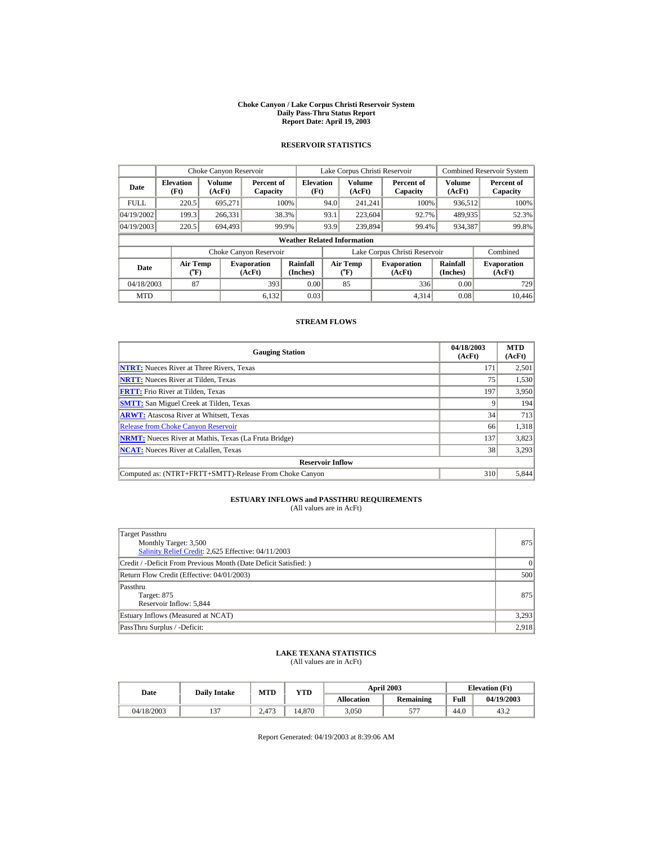#### **Choke Canyon / Lake Corpus Christi Reservoir System Daily Pass-Thru Status Report Report Date: April 19, 2003**

## **RESERVOIR STATISTICS**

|             | Choke Canyon Reservoir                |                  |                              |                                    | Lake Corpus Christi Reservoir |                                  |                               |                         | <b>Combined Reservoir System</b> |
|-------------|---------------------------------------|------------------|------------------------------|------------------------------------|-------------------------------|----------------------------------|-------------------------------|-------------------------|----------------------------------|
| Date        | <b>Elevation</b><br>(Ft)              | Volume<br>(AcFt) | Percent of<br>Capacity       | <b>Elevation</b><br>(Ft)           |                               | <b>Volume</b><br>(AcFt)          | Percent of<br>Capacity        | <b>Volume</b><br>(AcFt) | Percent of<br>Capacity           |
| <b>FULL</b> | 220.5                                 | 695.271          |                              | 100%                               | 94.0                          | 241.241                          | 100%                          | 936,512                 | 100%                             |
| 04/19/2002  | 199.3                                 | 266,331          |                              | 38.3%                              | 93.1                          | 223,604                          | 92.7%                         | 489,935                 | 52.3%                            |
| 04/19/2003  | 220.5                                 | 694.493          |                              | 99.9%                              | 93.9                          | 239,894                          | 99.4%                         | 934,387                 | 99.8%                            |
|             |                                       |                  |                              | <b>Weather Related Information</b> |                               |                                  |                               |                         |                                  |
|             |                                       |                  | Choke Canyon Reservoir       |                                    |                               |                                  | Lake Corpus Christi Reservoir |                         | Combined                         |
| Date        | <b>Air Temp</b><br>$({}^o\mathrm{F})$ |                  | <b>Evaporation</b><br>(AcFt) | <b>Rainfall</b><br>(Inches)        |                               | Air Temp<br>$(^{\circ}\text{F})$ | <b>Evaporation</b><br>(AcFt)  | Rainfall<br>(Inches)    | <b>Evaporation</b><br>(AcFt)     |
| 04/18/2003  | 87                                    |                  | 393                          | 0.00                               |                               | 85                               | 336                           | 0.00                    | 729                              |
| <b>MTD</b>  |                                       |                  | 6.132                        | 0.03                               |                               |                                  | 4.314                         | 0.08                    | 10.446                           |

#### **STREAM FLOWS**

| <b>Gauging Station</b>                                       | 04/18/2003<br>(AcFt) | <b>MTD</b><br>(AcFt) |
|--------------------------------------------------------------|----------------------|----------------------|
| <b>NTRT:</b> Nueces River at Three Rivers, Texas             | 171                  | 2,501                |
| <b>NRTT:</b> Nueces River at Tilden, Texas                   | 75                   | 1,530                |
| <b>FRTT:</b> Frio River at Tilden. Texas                     | 197                  | 3,950                |
| <b>SMTT:</b> San Miguel Creek at Tilden, Texas               |                      | 194                  |
| <b>ARWT:</b> Atascosa River at Whitsett, Texas               | 34                   | 713                  |
| <b>Release from Choke Canyon Reservoir</b>                   | 66                   | 1,318                |
| <b>NRMT:</b> Nueces River at Mathis, Texas (La Fruta Bridge) | 137                  | 3,823                |
| <b>NCAT:</b> Nueces River at Calallen, Texas                 | 38                   | 3,293                |
| <b>Reservoir Inflow</b>                                      |                      |                      |
| Computed as: (NTRT+FRTT+SMTT)-Release From Choke Canyon      | 310                  | 5,844                |

# **ESTUARY INFLOWS and PASSTHRU REQUIREMENTS**<br>(All values are in AcFt)

| Target Passthru<br>Monthly Target: 3,500<br>Salinity Relief Credit: 2,625 Effective: 04/11/2003 | 875      |
|-------------------------------------------------------------------------------------------------|----------|
| Credit / -Deficit From Previous Month (Date Deficit Satisfied: )                                | $\Omega$ |
| Return Flow Credit (Effective: 04/01/2003)                                                      | 500      |
| Passthru<br>Target: 875<br>Reservoir Inflow: 5,844                                              | 875      |
| Estuary Inflows (Measured at NCAT)                                                              | 3,293    |
| PassThru Surplus / -Deficit:                                                                    | 2,918    |

# **LAKE TEXANA STATISTICS** (All values are in AcFt)

| Date       | <b>Daily Intake</b> | MTD   | YTD    |            | <b>April 2003</b> |      | <b>Elevation</b> (Ft) |
|------------|---------------------|-------|--------|------------|-------------------|------|-----------------------|
|            |                     |       |        | Allocation | Remaining         | Full | 04/19/2003            |
| 04/18/2003 | 27                  | 2.473 | 14.870 | 3,050      | ビワワ               | 44.0 | 43.2                  |

Report Generated: 04/19/2003 at 8:39:06 AM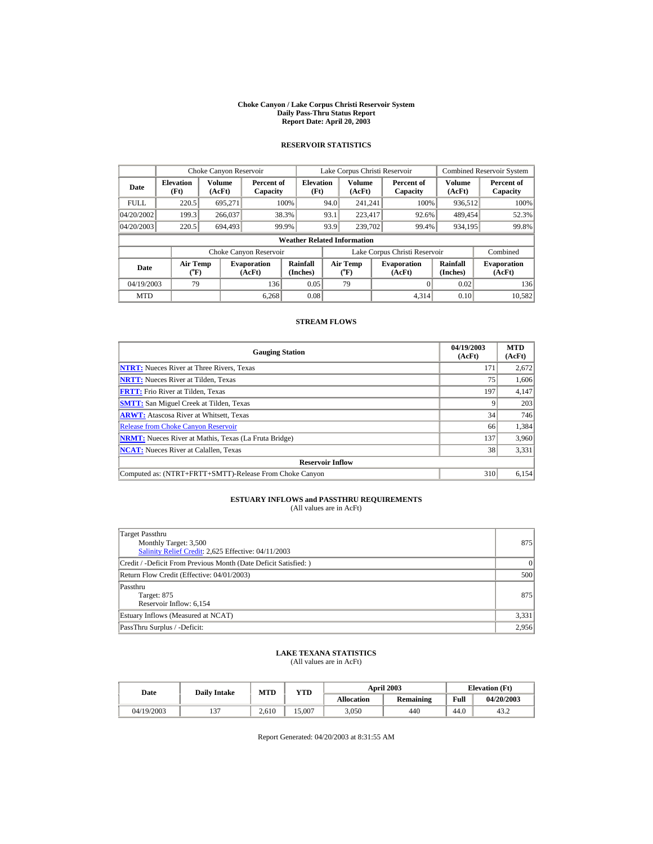#### **Choke Canyon / Lake Corpus Christi Reservoir System Daily Pass-Thru Status Report Report Date: April 20, 2003**

## **RESERVOIR STATISTICS**

|             | Choke Canyon Reservoir                |                  |                              |                                    | Lake Corpus Christi Reservoir |                                |  |                               |                         | <b>Combined Reservoir System</b> |
|-------------|---------------------------------------|------------------|------------------------------|------------------------------------|-------------------------------|--------------------------------|--|-------------------------------|-------------------------|----------------------------------|
| Date        | <b>Elevation</b><br>(Ft)              | Volume<br>(AcFt) | Percent of<br>Capacity       | <b>Elevation</b><br>(Ft)           |                               | <b>Volume</b><br>(AcFt)        |  | Percent of<br>Capacity        | <b>Volume</b><br>(AcFt) | Percent of<br>Capacity           |
| <b>FULL</b> | 220.5                                 | 695.271          |                              | 100%                               | 94.0                          | 241.241                        |  | 100%                          | 936,512                 | 100%                             |
| 04/20/2002  | 199.3                                 | 266,037          |                              | 38.3%                              | 93.1                          | 223,417                        |  | 92.6%                         | 489,454                 | 52.3%                            |
| 04/20/2003  | 220.5                                 | 694.493          |                              | 99.9%                              | 93.9                          | 239,702                        |  | 99.4%                         | 934,195                 | 99.8%                            |
|             |                                       |                  |                              | <b>Weather Related Information</b> |                               |                                |  |                               |                         |                                  |
|             |                                       |                  | Choke Canyon Reservoir       |                                    |                               |                                |  | Lake Corpus Christi Reservoir |                         | Combined                         |
| <b>Date</b> | <b>Air Temp</b><br>$({}^o\mathrm{F})$ |                  | <b>Evaporation</b><br>(AcFt) | Rainfall<br>(Inches)               |                               | Air Temp<br>$({}^o\mathrm{F})$ |  | <b>Evaporation</b><br>(AcFt)  | Rainfall<br>(Inches)    | <b>Evaporation</b><br>(AcFt)     |
| 04/19/2003  | 79                                    |                  | 136                          | 0.05                               |                               | 79                             |  |                               | 0.02                    | 136                              |
| <b>MTD</b>  |                                       |                  | 6.268                        | 0.08                               |                               |                                |  | 4.314                         | 0.10                    | 10,582                           |

#### **STREAM FLOWS**

| <b>Gauging Station</b>                                       | 04/19/2003<br>(AcFt) | <b>MTD</b><br>(AcFt) |
|--------------------------------------------------------------|----------------------|----------------------|
| <b>NTRT:</b> Nueces River at Three Rivers, Texas             | 171                  | 2,672                |
| <b>NRTT:</b> Nueces River at Tilden, Texas                   | 75                   | 1,606                |
| <b>FRTT:</b> Frio River at Tilden, Texas                     | 197                  | 4,147                |
| <b>SMTT:</b> San Miguel Creek at Tilden, Texas               |                      | 203                  |
| <b>ARWT:</b> Atascosa River at Whitsett, Texas               | 34                   | 746                  |
| <b>Release from Choke Canyon Reservoir</b>                   | 66                   | 1,384                |
| <b>NRMT:</b> Nueces River at Mathis, Texas (La Fruta Bridge) | 137                  | 3,960                |
| <b>NCAT:</b> Nueces River at Calallen, Texas                 | 38                   | 3,331                |
| <b>Reservoir Inflow</b>                                      |                      |                      |
| Computed as: (NTRT+FRTT+SMTT)-Release From Choke Canyon      | 310                  | 6,154                |

# **ESTUARY INFLOWS and PASSTHRU REQUIREMENTS**<br>(All values are in AcFt)

| Target Passthru<br>Monthly Target: 3,500<br>Salinity Relief Credit: 2,625 Effective: 04/11/2003 | 875      |
|-------------------------------------------------------------------------------------------------|----------|
| Credit / -Deficit From Previous Month (Date Deficit Satisfied:)                                 | $\Omega$ |
| Return Flow Credit (Effective: 04/01/2003)                                                      | 500      |
| Passthru<br>Target: 875<br>Reservoir Inflow: 6,154                                              | 875      |
| Estuary Inflows (Measured at NCAT)                                                              | 3,331    |
| PassThru Surplus / -Deficit:                                                                    | 2,956    |

# **LAKE TEXANA STATISTICS** (All values are in AcFt)

| Date       |        | <b>MTD</b><br><b>Daily Intake</b> |        | <b>April 2003</b> |                  | <b>Elevation</b> (Ft) |            |
|------------|--------|-----------------------------------|--------|-------------------|------------------|-----------------------|------------|
|            |        |                                   | YTD    | <b>Allocation</b> | <b>Remaining</b> | Full                  | 04/20/2003 |
| 04/19/2003 | $\sim$ | 2.610                             | 15,007 | 3,050             | 440              | 44.0                  | 43.2       |

Report Generated: 04/20/2003 at 8:31:55 AM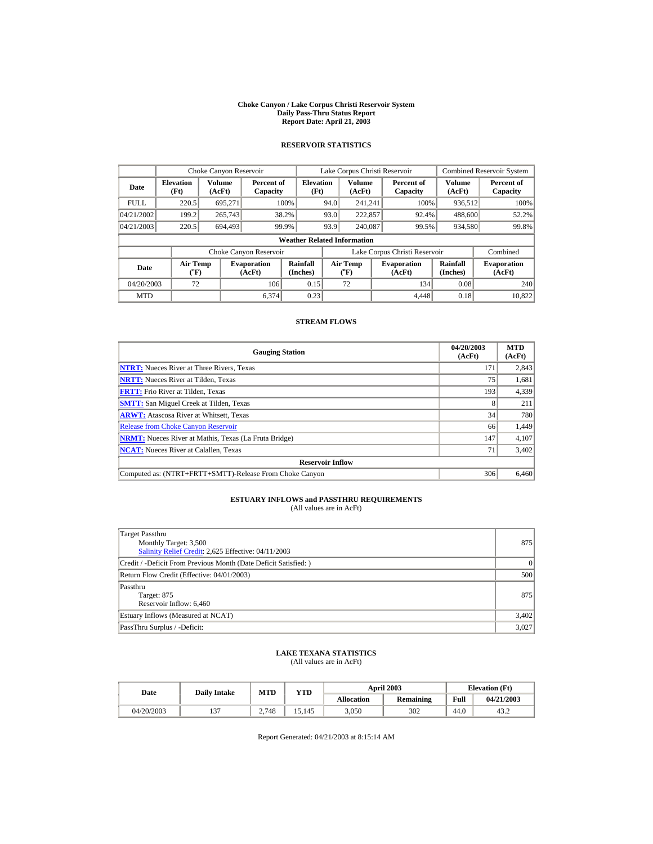#### **Choke Canyon / Lake Corpus Christi Reservoir System Daily Pass-Thru Status Report Report Date: April 21, 2003**

## **RESERVOIR STATISTICS**

|             | Choke Canyon Reservoir                |                  |                              |                                    | Lake Corpus Christi Reservoir |                                  |  |                               |                         | <b>Combined Reservoir System</b> |
|-------------|---------------------------------------|------------------|------------------------------|------------------------------------|-------------------------------|----------------------------------|--|-------------------------------|-------------------------|----------------------------------|
| Date        | <b>Elevation</b><br>(Ft)              | Volume<br>(AcFt) | Percent of<br>Capacity       | <b>Elevation</b><br>(Ft)           |                               | <b>Volume</b><br>(AcFt)          |  | Percent of<br>Capacity        | <b>Volume</b><br>(AcFt) | Percent of<br>Capacity           |
| <b>FULL</b> | 220.5                                 | 695.271          |                              | 100%                               | 94.0                          | 241.241                          |  | 100%                          | 936,512                 | 100%                             |
| 04/21/2002  | 199.2                                 | 265,743          |                              | 38.2%                              | 93.0                          | 222,857                          |  | 92.4%                         | 488,600                 | 52.2%                            |
| 04/21/2003  | 220.5                                 | 694.493          |                              | 99.9%                              | 93.9                          | 240,087                          |  | 99.5%                         | 934,580                 | 99.8%                            |
|             |                                       |                  |                              | <b>Weather Related Information</b> |                               |                                  |  |                               |                         |                                  |
|             |                                       |                  | Choke Canyon Reservoir       |                                    |                               |                                  |  | Lake Corpus Christi Reservoir |                         | Combined                         |
| Date        | <b>Air Temp</b><br>$({}^o\mathrm{F})$ |                  | <b>Evaporation</b><br>(AcFt) | Rainfall<br>(Inches)               |                               | Air Temp<br>$(^{\circ}\text{F})$ |  | <b>Evaporation</b><br>(AcFt)  | Rainfall<br>(Inches)    | <b>Evaporation</b><br>(AcFt)     |
| 04/20/2003  | 72                                    |                  | 106                          | 0.15                               |                               | 72                               |  | 134                           | 0.08                    | 240                              |
| <b>MTD</b>  |                                       |                  | 6.374                        | 0.23                               |                               |                                  |  | 4.448                         | 0.18                    | 10.822                           |

#### **STREAM FLOWS**

| <b>Gauging Station</b>                                       | 04/20/2003<br>(AcFt) | <b>MTD</b><br>(AcFt) |
|--------------------------------------------------------------|----------------------|----------------------|
| <b>NTRT:</b> Nueces River at Three Rivers, Texas             | 171                  | 2,843                |
| <b>NRTT:</b> Nueces River at Tilden, Texas                   | 75                   | 1,681                |
| <b>FRTT:</b> Frio River at Tilden. Texas                     | 193                  | 4,339                |
| <b>SMTT:</b> San Miguel Creek at Tilden, Texas               | 8                    | 211                  |
| <b>ARWT:</b> Atascosa River at Whitsett, Texas               | 34                   | 780                  |
| <b>Release from Choke Canyon Reservoir</b>                   | 66                   | 1,449                |
| <b>NRMT:</b> Nueces River at Mathis, Texas (La Fruta Bridge) | 147                  | 4,107                |
| <b>NCAT:</b> Nueces River at Calallen, Texas                 | 71                   | 3,402                |
| <b>Reservoir Inflow</b>                                      |                      |                      |
| Computed as: (NTRT+FRTT+SMTT)-Release From Choke Canyon      | 306                  | 6,460                |

# **ESTUARY INFLOWS and PASSTHRU REQUIREMENTS**<br>(All values are in AcFt)

| Target Passthru<br>Monthly Target: 3,500<br>Salinity Relief Credit: 2,625 Effective: 04/11/2003 | 875      |
|-------------------------------------------------------------------------------------------------|----------|
| Credit / -Deficit From Previous Month (Date Deficit Satisfied: )                                | $\Omega$ |
| Return Flow Credit (Effective: 04/01/2003)                                                      | 500      |
| Passthru<br>Target: 875<br>Reservoir Inflow: 6,460                                              | 875      |
| Estuary Inflows (Measured at NCAT)                                                              | 3,402    |
| PassThru Surplus / -Deficit:                                                                    | 3,027    |

# **LAKE TEXANA STATISTICS** (All values are in AcFt)

| Date       | <b>Daily Intake</b> | MTD   | YTD    |            | <b>April 2003</b> |      | <b>Elevation</b> (Ft) |
|------------|---------------------|-------|--------|------------|-------------------|------|-----------------------|
|            |                     |       |        | Allocation | Remaining         | Full | 04/21/2003            |
| 04/20/2003 | 37                  | 2.748 | 15.145 | 3,050      | 302               | 44.0 | 43.2                  |

Report Generated: 04/21/2003 at 8:15:14 AM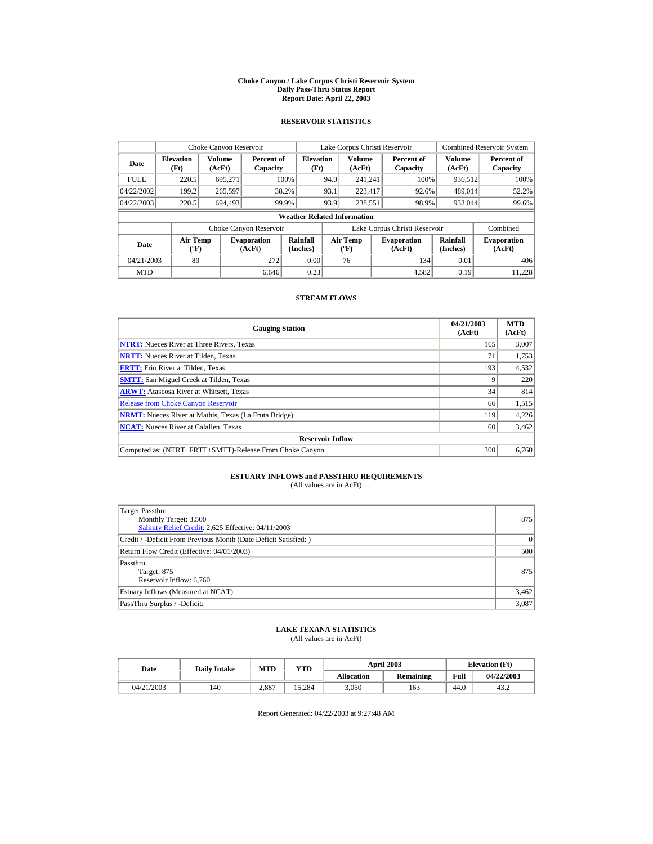#### **Choke Canyon / Lake Corpus Christi Reservoir System Daily Pass-Thru Status Report Report Date: April 22, 2003**

### **RESERVOIR STATISTICS**

|                                            | Choke Canyon Reservoir                      |               |                              |                          |      | Lake Corpus Christi Reservoir           |  |                               |                      | <b>Combined Reservoir System</b> |  |
|--------------------------------------------|---------------------------------------------|---------------|------------------------------|--------------------------|------|-----------------------------------------|--|-------------------------------|----------------------|----------------------------------|--|
| <b>Elevation</b><br>Date<br>(Ft)<br>(AcFt) |                                             | <b>Volume</b> | Percent of<br>Capacity       | <b>Elevation</b><br>(Ft) |      | <b>Volume</b><br>(AcFt)                 |  | Percent of<br>Capacity        | Volume<br>(AcFt)     | Percent of<br>Capacity           |  |
| <b>FULL</b>                                | 220.5                                       | 695.271       |                              | 100%                     | 94.0 | 241.241                                 |  | 100%                          | 936,512              | 100%                             |  |
| 04/22/2002                                 | 199.2                                       | 265,597       |                              | 38.2%                    | 93.1 | 223,417                                 |  | 92.6%                         | 489,014              | 52.2%                            |  |
| 04/22/2003                                 | 220.5                                       | 694.493       |                              | 99.9%                    | 93.9 | 238,551                                 |  | 98.9%                         | 933,044              | 99.6%                            |  |
|                                            | <b>Weather Related Information</b>          |               |                              |                          |      |                                         |  |                               |                      |                                  |  |
|                                            |                                             |               | Choke Canyon Reservoir       |                          |      |                                         |  | Lake Corpus Christi Reservoir |                      | Combined                         |  |
| Date                                       | <b>Air Temp</b><br>$({}^{\circ}\mathrm{F})$ |               | <b>Evaporation</b><br>(AcFt) | Rainfall<br>(Inches)     |      | <b>Air Temp</b><br>$(^{\circ}\text{F})$ |  | <b>Evaporation</b><br>(AcFt)  | Rainfall<br>(Inches) | <b>Evaporation</b><br>(AcFt)     |  |
| 04/21/2003                                 | 80                                          |               | 272                          | 0.00                     |      | 76                                      |  | 134                           | 0.01                 | 406                              |  |
| <b>MTD</b>                                 |                                             |               | 6.646                        | 0.23                     |      |                                         |  | 4.582                         | 0.19                 | 11.228                           |  |

### **STREAM FLOWS**

| <b>Gauging Station</b>                                       | 04/21/2003<br>(AcFt) | <b>MTD</b><br>(AcFt) |
|--------------------------------------------------------------|----------------------|----------------------|
| <b>NTRT:</b> Nueces River at Three Rivers, Texas             | 165                  | 3,007                |
| <b>NRTT:</b> Nueces River at Tilden, Texas                   | 7 <sub>i</sub>       | 1,753                |
| <b>FRTT:</b> Frio River at Tilden, Texas                     | 193                  | 4,532                |
| <b>SMTT:</b> San Miguel Creek at Tilden, Texas               |                      | 220                  |
| <b>ARWT:</b> Atascosa River at Whitsett, Texas               | 34                   | 814                  |
| <b>Release from Choke Canyon Reservoir</b>                   | 66                   | 1,515                |
| <b>NRMT:</b> Nueces River at Mathis, Texas (La Fruta Bridge) | 119                  | 4,226                |
| <b>NCAT:</b> Nueces River at Calallen, Texas                 | 60                   | 3,462                |
| <b>Reservoir Inflow</b>                                      |                      |                      |
| Computed as: (NTRT+FRTT+SMTT)-Release From Choke Canyon      | 300                  | 6,760                |

# **ESTUARY INFLOWS and PASSTHRU REQUIREMENTS**<br>(All values are in AcFt)

| Target Passthru<br>Monthly Target: 3,500<br>Salinity Relief Credit: 2,625 Effective: 04/11/2003 | 875   |
|-------------------------------------------------------------------------------------------------|-------|
| Credit / -Deficit From Previous Month (Date Deficit Satisfied: )                                | 0     |
| Return Flow Credit (Effective: 04/01/2003)                                                      | 500   |
| Passthru<br>Target: 875<br>Reservoir Inflow: 6,760                                              | 875   |
| Estuary Inflows (Measured at NCAT)                                                              | 3,462 |
| PassThru Surplus / -Deficit:                                                                    | 3,087 |

## **LAKE TEXANA STATISTICS**

(All values are in AcFt)

| Date       | <b>April 2003</b><br><b>MTD</b><br>YTD<br><b>Daily Intake</b> |       |        | <b>Elevation</b> (Ft) |           |      |            |
|------------|---------------------------------------------------------------|-------|--------|-----------------------|-----------|------|------------|
|            |                                                               |       |        | <b>Allocation</b>     | Remaining | Full | 04/22/2003 |
| 04/21/2003 | 140                                                           | 2.887 | .5,284 | 3.050                 | 163       | 44.0 | 43.2       |

Report Generated: 04/22/2003 at 9:27:48 AM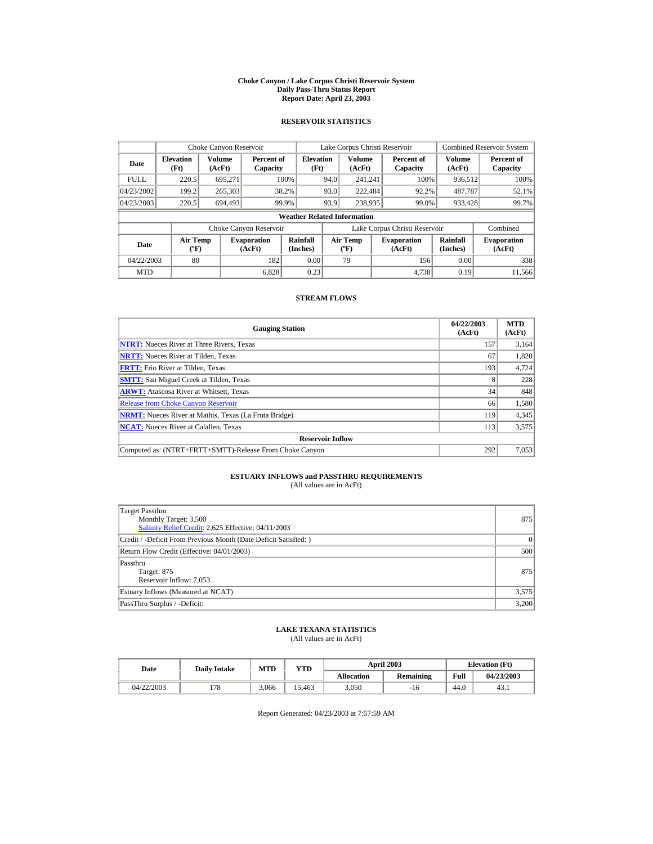#### **Choke Canyon / Lake Corpus Christi Reservoir System Daily Pass-Thru Status Report Report Date: April 23, 2003**

### **RESERVOIR STATISTICS**

|                                  | Choke Canyon Reservoir                      |                  |                              |                          |      | Lake Corpus Christi Reservoir               |  |                               |                      | <b>Combined Reservoir System</b> |  |
|----------------------------------|---------------------------------------------|------------------|------------------------------|--------------------------|------|---------------------------------------------|--|-------------------------------|----------------------|----------------------------------|--|
| <b>Elevation</b><br>Date<br>(Ft) |                                             | Volume<br>(AcFt) | Percent of<br>Capacity       | <b>Elevation</b><br>(Ft) |      | Volume<br>(AcFt)                            |  | Percent of<br>Capacity        | Volume<br>(AcFt)     | Percent of<br>Capacity           |  |
| <b>FULL</b>                      | 220.5                                       | 695.271          |                              | 100%                     | 94.0 | 241.241                                     |  | 100%                          | 936,512              | 100%                             |  |
| 04/23/2002                       | 199.2                                       | 265,303          |                              | 38.2%                    | 93.0 | 222,484                                     |  | 92.2%                         | 487,787              | 52.1%                            |  |
| 04/23/2003                       | 220.5                                       | 694.493          |                              | 99.9%                    | 93.9 | 238,935                                     |  | 99.0%                         | 933,428              | 99.7%                            |  |
|                                  | <b>Weather Related Information</b>          |                  |                              |                          |      |                                             |  |                               |                      |                                  |  |
|                                  |                                             |                  | Choke Canyon Reservoir       |                          |      |                                             |  | Lake Corpus Christi Reservoir |                      | Combined                         |  |
| Date                             | <b>Air Temp</b><br>$({}^{\circ}\mathrm{F})$ |                  | <b>Evaporation</b><br>(AcFt) | Rainfall<br>(Inches)     |      | <b>Air Temp</b><br>$({}^{\circ}\mathbf{F})$ |  | <b>Evaporation</b><br>(AcFt)  | Rainfall<br>(Inches) | <b>Evaporation</b><br>(AcFt)     |  |
| 04/22/2003                       | 80                                          |                  | 182                          | 0.00                     |      | 79                                          |  | 156                           | 0.00                 | 338                              |  |
| <b>MTD</b>                       |                                             |                  | 6.828                        | 0.23                     |      |                                             |  | 4.738                         | 0.19                 | 11.566                           |  |

### **STREAM FLOWS**

| <b>Gauging Station</b>                                       | 04/22/2003<br>(AcFt) | <b>MTD</b><br>(AcFt) |
|--------------------------------------------------------------|----------------------|----------------------|
| <b>NTRT:</b> Nueces River at Three Rivers, Texas             | 157                  | 3,164                |
| <b>NRTT:</b> Nueces River at Tilden, Texas                   | 67                   | 1,820                |
| <b>FRTT:</b> Frio River at Tilden, Texas                     | 193                  | 4,724                |
| <b>SMTT:</b> San Miguel Creek at Tilden, Texas               | 8                    | 228                  |
| <b>ARWT:</b> Atascosa River at Whitsett, Texas               | 34                   | 848                  |
| <b>Release from Choke Canyon Reservoir</b>                   | 66                   | 1,580                |
| <b>NRMT:</b> Nueces River at Mathis, Texas (La Fruta Bridge) | 119                  | 4,345                |
| <b>NCAT:</b> Nueces River at Calallen, Texas                 | 113                  | 3,575                |
| <b>Reservoir Inflow</b>                                      |                      |                      |
| Computed as: (NTRT+FRTT+SMTT)-Release From Choke Canyon      | 292                  | 7,053                |

# **ESTUARY INFLOWS and PASSTHRU REQUIREMENTS**<br>(All values are in AcFt)

| Target Passthru<br>Monthly Target: 3,500<br>Salinity Relief Credit: 2,625 Effective: 04/11/2003 | 875   |
|-------------------------------------------------------------------------------------------------|-------|
| Credit / -Deficit From Previous Month (Date Deficit Satisfied: )                                | 0     |
| Return Flow Credit (Effective: 04/01/2003)                                                      | 500   |
| Passthru<br>Target: 875<br>Reservoir Inflow: 7,053                                              | 875   |
| Estuary Inflows (Measured at NCAT)                                                              | 3,575 |
| PassThru Surplus / -Deficit:                                                                    | 3,200 |

## **LAKE TEXANA STATISTICS**

(All values are in AcFt)

| Date       | <b>Daily Intake</b> | <b>MTD</b> | YTD   |                   | <b>April 2003</b> |      | <b>Elevation</b> (Ft) |
|------------|---------------------|------------|-------|-------------------|-------------------|------|-----------------------|
|            |                     |            |       | <b>Allocation</b> | Remaining         | Full | 04/23/2003            |
| 04/22/2003 | 178                 | 3.066      | 5.463 | 3.050             | -16               | 44.0 | 43.1                  |

Report Generated: 04/23/2003 at 7:57:59 AM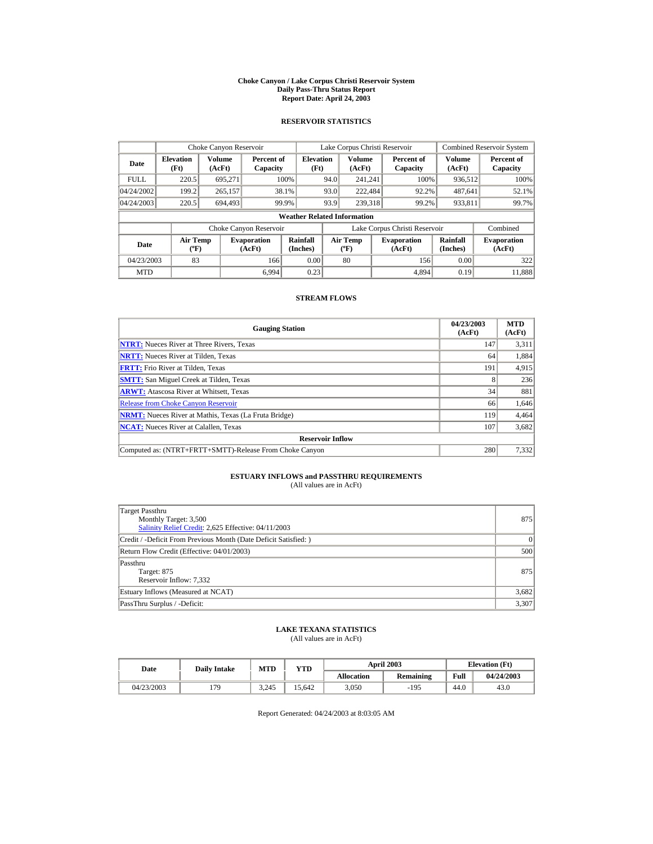#### **Choke Canyon / Lake Corpus Christi Reservoir System Daily Pass-Thru Status Report Report Date: April 24, 2003**

### **RESERVOIR STATISTICS**

|                                  | Choke Canyon Reservoir                      |                  |                              |                                    |      | Lake Corpus Christi Reservoir             |                               |                      | <b>Combined Reservoir System</b> |
|----------------------------------|---------------------------------------------|------------------|------------------------------|------------------------------------|------|-------------------------------------------|-------------------------------|----------------------|----------------------------------|
| <b>Elevation</b><br>Date<br>(Ft) |                                             | Volume<br>(AcFt) | Percent of<br>Capacity       | <b>Elevation</b><br>(Ft)           |      | Volume<br>(AcFt)                          | Percent of<br>Capacity        | Volume<br>(AcFt)     | Percent of<br>Capacity           |
| <b>FULL</b>                      | 220.5                                       | 695.271          |                              | 100%                               | 94.0 | 241.241                                   | 100%                          | 936,512              | 100%                             |
| 04/24/2002                       | 199.2                                       | 265,157          |                              | 38.1%                              | 93.0 | 222,484                                   | 92.2%                         | 487.641              | 52.1%                            |
| 04/24/2003                       | 220.5                                       | 694.493          |                              | 99.9%                              | 93.9 | 239,318                                   | 99.2%                         | 933,811              | 99.7%                            |
|                                  |                                             |                  |                              | <b>Weather Related Information</b> |      |                                           |                               |                      |                                  |
|                                  |                                             |                  | Choke Canyon Reservoir       |                                    |      |                                           | Lake Corpus Christi Reservoir |                      | Combined                         |
| Date                             | <b>Air Temp</b><br>$({}^{\circ}\mathrm{F})$ |                  | <b>Evaporation</b><br>(AcFt) | Rainfall<br>(Inches)               |      | <b>Air Temp</b><br>$({}^{\circ}\text{F})$ | <b>Evaporation</b><br>(AcFt)  | Rainfall<br>(Inches) | <b>Evaporation</b><br>(AcFt)     |
| 04/23/2003                       | 83                                          |                  | 166                          | 0.00                               |      | 80                                        | 156                           | 0.00                 | 322                              |
| <b>MTD</b>                       |                                             |                  | 6.994                        | 0.23                               |      |                                           | 4.894                         | 0.19                 | 11.888                           |

### **STREAM FLOWS**

| <b>Gauging Station</b>                                       | 04/23/2003<br>(AcFt) | <b>MTD</b><br>(AcFt) |
|--------------------------------------------------------------|----------------------|----------------------|
| <b>NTRT:</b> Nueces River at Three Rivers, Texas             | 147                  | 3,311                |
| <b>NRTT:</b> Nueces River at Tilden, Texas                   | 64                   | 1,884                |
| <b>FRTT:</b> Frio River at Tilden. Texas                     | 191                  | 4,915                |
| <b>SMTT:</b> San Miguel Creek at Tilden, Texas               |                      | 236                  |
| <b>ARWT:</b> Atascosa River at Whitsett, Texas               | 34                   | 881                  |
| <b>Release from Choke Canyon Reservoir</b>                   | 66                   | 1,646                |
| <b>NRMT:</b> Nueces River at Mathis, Texas (La Fruta Bridge) | 119                  | 4,464                |
| <b>NCAT:</b> Nueces River at Calallen, Texas                 | 107                  | 3,682                |
| <b>Reservoir Inflow</b>                                      |                      |                      |
| Computed as: (NTRT+FRTT+SMTT)-Release From Choke Canyon      | 280                  | 7,332                |

# **ESTUARY INFLOWS and PASSTHRU REQUIREMENTS**<br>(All values are in AcFt)

| Target Passthru<br>Monthly Target: 3,500<br>Salinity Relief Credit: 2,625 Effective: 04/11/2003 | 875   |
|-------------------------------------------------------------------------------------------------|-------|
| Credit / -Deficit From Previous Month (Date Deficit Satisfied:)                                 | 0     |
| Return Flow Credit (Effective: 04/01/2003)                                                      | 500   |
| Passthru<br>Target: 875<br>Reservoir Inflow: 7,332                                              | 875   |
| Estuary Inflows (Measured at NCAT)                                                              | 3,682 |
| PassThru Surplus / -Deficit:                                                                    | 3,307 |

## **LAKE TEXANA STATISTICS**

(All values are in AcFt)

| Date       | <b>Daily Intake</b> | <b>MTD</b> | $_{\rm VTD}$ |            | <b>April 2003</b> |      | <b>Elevation</b> (Ft) |
|------------|---------------------|------------|--------------|------------|-------------------|------|-----------------------|
|            |                     |            |              | Allocation | Remaining         | Full | 04/24/2003            |
| 04/23/2003 | 70                  | 3.245      | 15.642       | 3.050      | $-195$            | 44.0 | 43.0                  |

Report Generated: 04/24/2003 at 8:03:05 AM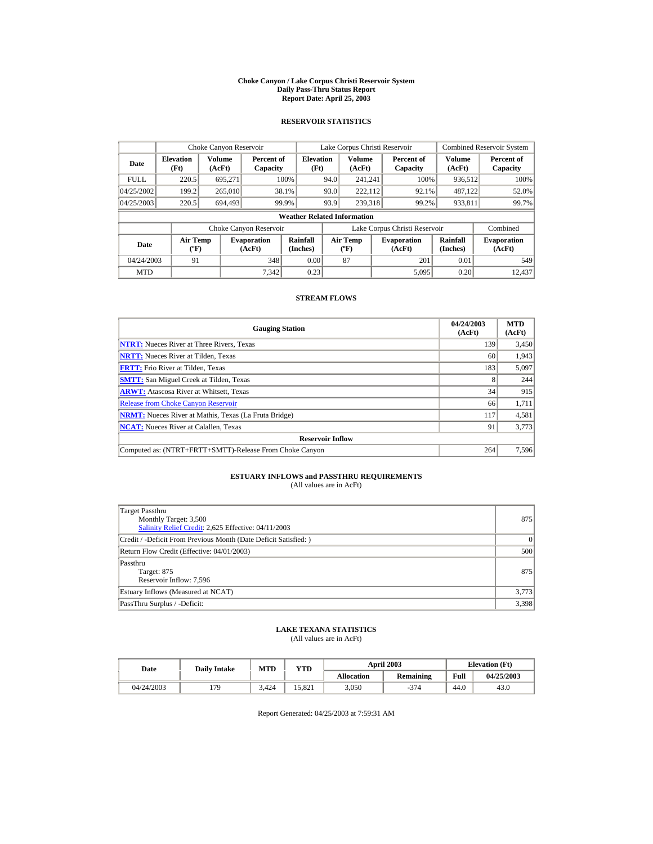#### **Choke Canyon / Lake Corpus Christi Reservoir System Daily Pass-Thru Status Report Report Date: April 25, 2003**

### **RESERVOIR STATISTICS**

|             | Choke Canyon Reservoir                      |                  |                              |                          | Lake Corpus Christi Reservoir |                                           |  |                               |                      | <b>Combined Reservoir System</b> |  |  |
|-------------|---------------------------------------------|------------------|------------------------------|--------------------------|-------------------------------|-------------------------------------------|--|-------------------------------|----------------------|----------------------------------|--|--|
| Date        | <b>Elevation</b><br>(Ft)                    | Volume<br>(AcFt) | Percent of<br>Capacity       | <b>Elevation</b><br>(Ft) |                               | Volume<br>(AcFt)                          |  | Percent of<br>Capacity        | Volume<br>(AcFt)     | Percent of<br>Capacity           |  |  |
| <b>FULL</b> | 220.5                                       | 695.271          |                              | 100%                     | 94.0                          | 241.241                                   |  | 100%                          | 936,512              | 100%                             |  |  |
| 04/25/2002  | 199.2                                       | 265,010          |                              | 38.1%                    | 93.0                          | 222.112                                   |  | 92.1%                         | 487.122              | 52.0%                            |  |  |
| 04/25/2003  | 220.5                                       | 694.493          |                              | 99.9%                    | 93.9                          | 239,318                                   |  | 99.2%                         | 933,811              | 99.7%                            |  |  |
|             | <b>Weather Related Information</b>          |                  |                              |                          |                               |                                           |  |                               |                      |                                  |  |  |
|             |                                             |                  | Choke Canyon Reservoir       |                          |                               |                                           |  | Lake Corpus Christi Reservoir |                      | Combined                         |  |  |
| Date        | <b>Air Temp</b><br>$({}^{\circ}\mathrm{F})$ |                  | <b>Evaporation</b><br>(AcFt) | Rainfall<br>(Inches)     |                               | <b>Air Temp</b><br>$({}^{\circ}\text{F})$ |  | <b>Evaporation</b><br>(AcFt)  | Rainfall<br>(Inches) | <b>Evaporation</b><br>(AcFt)     |  |  |
| 04/24/2003  | 91                                          |                  | 348                          | 0.00                     |                               | 87                                        |  | 201                           | 0.01                 | 549                              |  |  |
| <b>MTD</b>  |                                             |                  | 7.342                        | 0.23                     |                               |                                           |  | 5,095                         | 0.20                 | 12.437                           |  |  |

### **STREAM FLOWS**

| <b>Gauging Station</b>                                       | 04/24/2003<br>(AcFt) | <b>MTD</b><br>(AcFt) |
|--------------------------------------------------------------|----------------------|----------------------|
| <b>NTRT:</b> Nueces River at Three Rivers, Texas             | 139                  | 3,450                |
| <b>NRTT:</b> Nueces River at Tilden. Texas                   | 60                   | 1,943                |
| <b>FRTT:</b> Frio River at Tilden, Texas                     | 183                  | 5,097                |
| <b>SMTT:</b> San Miguel Creek at Tilden, Texas               |                      | 244                  |
| <b>ARWT:</b> Atascosa River at Whitsett, Texas               | 34                   | 915                  |
| <b>Release from Choke Canyon Reservoir</b>                   | 66                   | 1,711                |
| <b>NRMT:</b> Nueces River at Mathis, Texas (La Fruta Bridge) | 117                  | 4,581                |
| <b>NCAT:</b> Nueces River at Calallen, Texas                 | 91                   | 3,773                |
| <b>Reservoir Inflow</b>                                      |                      |                      |
| Computed as: (NTRT+FRTT+SMTT)-Release From Choke Canyon      | 264                  | 7,596                |

# **ESTUARY INFLOWS and PASSTHRU REQUIREMENTS**<br>(All values are in AcFt)

| Target Passthru<br>Monthly Target: 3,500<br>Salinity Relief Credit: 2,625 Effective: 04/11/2003 | 875   |
|-------------------------------------------------------------------------------------------------|-------|
| Credit / -Deficit From Previous Month (Date Deficit Satisfied:)                                 | 0     |
| Return Flow Credit (Effective: 04/01/2003)                                                      | 500   |
| Passthru<br>Target: 875<br>Reservoir Inflow: 7,596                                              | 875   |
| Estuary Inflows (Measured at NCAT)                                                              | 3,773 |
| PassThru Surplus / -Deficit:                                                                    | 3,398 |

## **LAKE TEXANA STATISTICS**

(All values are in AcFt)

| Date       | <b>Daily Intake</b> | <b>MTD</b><br>YTD |       |                   | <b>April 2003</b> | <b>Elevation</b> (Ft) |            |
|------------|---------------------|-------------------|-------|-------------------|-------------------|-----------------------|------------|
|            |                     |                   |       | <b>Allocation</b> | <b>Remaining</b>  | Full                  | 04/25/2003 |
| 04/24/2003 | 70                  | 3.424             | 5.821 | 3.050             | $-374$            | 44.0                  | 43.0       |

Report Generated: 04/25/2003 at 7:59:31 AM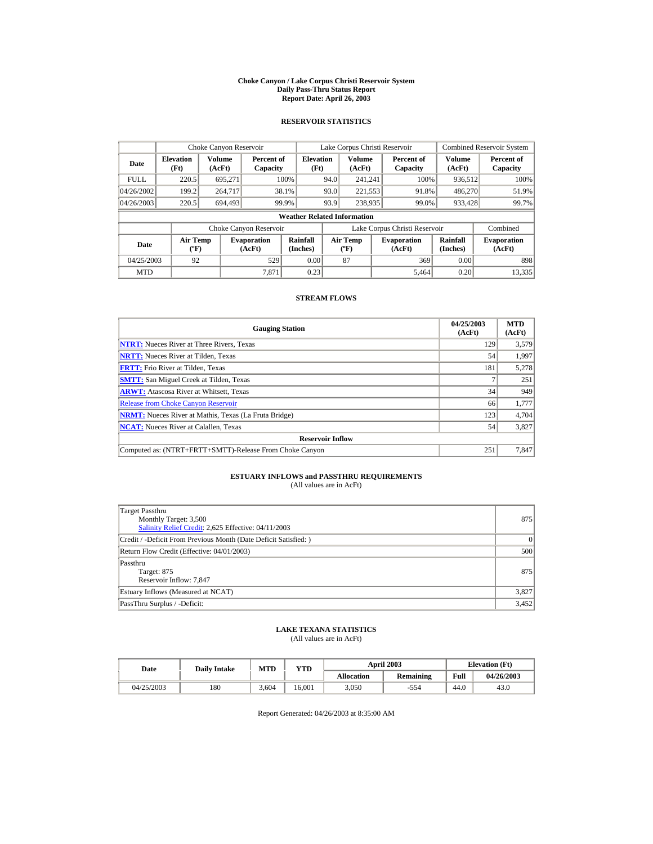#### **Choke Canyon / Lake Corpus Christi Reservoir System Daily Pass-Thru Status Report Report Date: April 26, 2003**

### **RESERVOIR STATISTICS**

|             | Choke Canyon Reservoir                      |                  |                              |                          | Lake Corpus Christi Reservoir |                                           |  |                               |                      | <b>Combined Reservoir System</b> |  |  |  |
|-------------|---------------------------------------------|------------------|------------------------------|--------------------------|-------------------------------|-------------------------------------------|--|-------------------------------|----------------------|----------------------------------|--|--|--|
| Date        | <b>Elevation</b><br>(Ft)                    | Volume<br>(AcFt) | Percent of<br>Capacity       | <b>Elevation</b><br>(Ft) |                               | Volume<br>(AcFt)                          |  | Percent of<br>Capacity        | Volume<br>(AcFt)     | Percent of<br>Capacity           |  |  |  |
| <b>FULL</b> | 220.5                                       | 695.271          |                              | 100%                     | 94.0                          | 241.241                                   |  | 100%                          | 936,512              | 100%                             |  |  |  |
| 04/26/2002  | 199.2                                       | 264,717          |                              | 38.1%                    | 93.0                          | 221,553                                   |  | 91.8%                         | 486,270              | 51.9%                            |  |  |  |
| 04/26/2003  | 220.5                                       | 694.493          |                              | 99.9%                    | 93.9                          | 238,935                                   |  | 99.0%                         | 933,428              | 99.7%                            |  |  |  |
|             | <b>Weather Related Information</b>          |                  |                              |                          |                               |                                           |  |                               |                      |                                  |  |  |  |
|             |                                             |                  | Choke Canyon Reservoir       |                          |                               |                                           |  | Lake Corpus Christi Reservoir |                      | Combined                         |  |  |  |
| Date        | <b>Air Temp</b><br>$({}^{\circ}\mathrm{F})$ |                  | <b>Evaporation</b><br>(AcFt) | Rainfall<br>(Inches)     |                               | <b>Air Temp</b><br>$({}^{\circ}\text{F})$ |  | <b>Evaporation</b><br>(AcFt)  | Rainfall<br>(Inches) | <b>Evaporation</b><br>(AcFt)     |  |  |  |
| 04/25/2003  | 92                                          |                  | 529                          | 0.00                     |                               | 87                                        |  | 369                           | 0.00                 | 898                              |  |  |  |
| <b>MTD</b>  |                                             |                  | 7,871                        | 0.23                     |                               |                                           |  | 5.464                         | 0.20                 | 13,335                           |  |  |  |

### **STREAM FLOWS**

| <b>Gauging Station</b>                                       | 04/25/2003<br>(AcFt) | <b>MTD</b><br>(AcFt) |
|--------------------------------------------------------------|----------------------|----------------------|
| <b>NTRT:</b> Nueces River at Three Rivers, Texas             | 129                  | 3,579                |
| <b>NRTT:</b> Nueces River at Tilden, Texas                   | 54                   | 1,997                |
| <b>FRTT:</b> Frio River at Tilden. Texas                     | 181                  | 5,278                |
| <b>SMTT:</b> San Miguel Creek at Tilden, Texas               |                      | 251                  |
| <b>ARWT:</b> Atascosa River at Whitsett, Texas               | 34                   | 949                  |
| <b>Release from Choke Canyon Reservoir</b>                   | 66                   | 1,777                |
| <b>NRMT:</b> Nueces River at Mathis, Texas (La Fruta Bridge) | 123                  | 4,704                |
| <b>NCAT:</b> Nueces River at Calallen, Texas                 | 54                   | 3,827                |
| <b>Reservoir Inflow</b>                                      |                      |                      |
| Computed as: (NTRT+FRTT+SMTT)-Release From Choke Canyon      | 251                  | 7,847                |

# **ESTUARY INFLOWS and PASSTHRU REQUIREMENTS**<br>(All values are in AcFt)

| Target Passthru<br>Monthly Target: 3,500<br>Salinity Relief Credit: 2,625 Effective: 04/11/2003 | 875   |
|-------------------------------------------------------------------------------------------------|-------|
| Credit / -Deficit From Previous Month (Date Deficit Satisfied: )                                | 0     |
| Return Flow Credit (Effective: 04/01/2003)                                                      | 500   |
| Passthru<br>Target: 875<br>Reservoir Inflow: 7,847                                              | 875   |
| Estuary Inflows (Measured at NCAT)                                                              | 3,827 |
| PassThru Surplus / -Deficit:                                                                    | 3,452 |

## **LAKE TEXANA STATISTICS**

(All values are in AcFt)

| Date       |     | <b>MTD</b><br><b>Daily Intake</b> |        |                   | <b>April 2003</b> | <b>Elevation</b> (Ft) |            |
|------------|-----|-----------------------------------|--------|-------------------|-------------------|-----------------------|------------|
|            |     |                                   | VTD    | <b>Allocation</b> | <b>Remaining</b>  | Full                  | 04/26/2003 |
| 04/25/2003 | 180 | 3.604                             | 16.001 | 3.050             | $-554$            | 44.0                  | 43.0       |

Report Generated: 04/26/2003 at 8:35:00 AM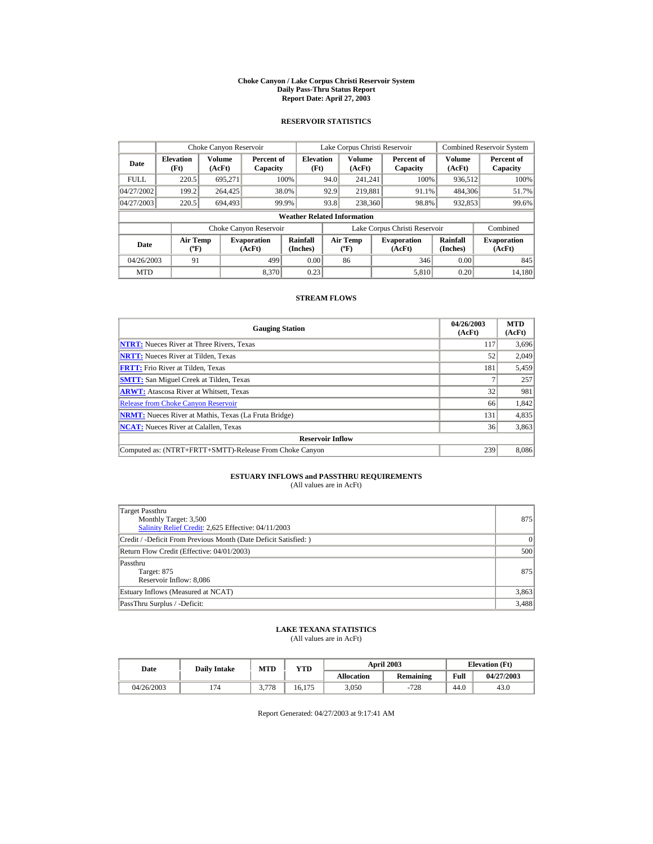#### **Choke Canyon / Lake Corpus Christi Reservoir System Daily Pass-Thru Status Report Report Date: April 27, 2003**

### **RESERVOIR STATISTICS**

|             | Choke Canyon Reservoir                      |                  |                              |                          |      | Lake Corpus Christi Reservoir               |  |                               |                      | <b>Combined Reservoir System</b> |  |  |
|-------------|---------------------------------------------|------------------|------------------------------|--------------------------|------|---------------------------------------------|--|-------------------------------|----------------------|----------------------------------|--|--|
| Date        | <b>Elevation</b><br>(Ft)                    | Volume<br>(AcFt) | Percent of<br>Capacity       | <b>Elevation</b><br>(Ft) |      | Volume<br>(AcFt)                            |  | Percent of<br>Capacity        | Volume<br>(AcFt)     | Percent of<br>Capacity           |  |  |
| <b>FULL</b> | 220.5                                       | 695.271          |                              | 100%                     | 94.0 | 241.241                                     |  | 100%                          | 936,512              | 100%                             |  |  |
| 04/27/2002  | 199.2                                       | 264,425          |                              | 38.0%                    | 92.9 | 219.881                                     |  | 91.1%                         | 484,306              | 51.7%                            |  |  |
| 04/27/2003  | 220.5                                       | 694.493          |                              | 99.9%                    | 93.8 | 238,360                                     |  | 98.8%                         | 932,853              | 99.6%                            |  |  |
|             | <b>Weather Related Information</b>          |                  |                              |                          |      |                                             |  |                               |                      |                                  |  |  |
|             |                                             |                  | Choke Canyon Reservoir       |                          |      |                                             |  | Lake Corpus Christi Reservoir |                      | Combined                         |  |  |
| Date        | <b>Air Temp</b><br>$({}^{\circ}\mathrm{F})$ |                  | <b>Evaporation</b><br>(AcFt) | Rainfall<br>(Inches)     |      | <b>Air Temp</b><br>$({}^{\circ}\mathbf{F})$ |  | <b>Evaporation</b><br>(AcFt)  | Rainfall<br>(Inches) | <b>Evaporation</b><br>(AcFt)     |  |  |
| 04/26/2003  | 91                                          |                  | 499                          | 0.00                     |      | 86                                          |  | 346                           | 0.00                 | 845                              |  |  |
| <b>MTD</b>  |                                             |                  | 8.370                        | 0.23                     |      |                                             |  | 5.810                         | 0.20                 | 14.180                           |  |  |

### **STREAM FLOWS**

| <b>Gauging Station</b>                                       | 04/26/2003<br>(AcFt) | <b>MTD</b><br>(AcFt) |
|--------------------------------------------------------------|----------------------|----------------------|
| <b>NTRT:</b> Nueces River at Three Rivers, Texas             | 117                  | 3,696                |
| <b>NRTT:</b> Nueces River at Tilden, Texas                   | 52                   | 2,049                |
| <b>FRTT:</b> Frio River at Tilden, Texas                     | 181                  | 5,459                |
| <b>SMTT:</b> San Miguel Creek at Tilden, Texas               |                      | 257                  |
| <b>ARWT:</b> Atascosa River at Whitsett, Texas               | 32                   | 981                  |
| <b>Release from Choke Canvon Reservoir</b>                   | 66                   | 1,842                |
| <b>NRMT:</b> Nueces River at Mathis, Texas (La Fruta Bridge) | 131                  | 4,835                |
| <b>NCAT:</b> Nueces River at Calallen, Texas                 | 36                   | 3,863                |
| <b>Reservoir Inflow</b>                                      |                      |                      |
| Computed as: (NTRT+FRTT+SMTT)-Release From Choke Canyon      | 239                  | 8,086                |

# **ESTUARY INFLOWS and PASSTHRU REQUIREMENTS**<br>(All values are in AcFt)

| Target Passthru<br>Monthly Target: 3,500<br>Salinity Relief Credit: 2,625 Effective: 04/11/2003 | 875   |
|-------------------------------------------------------------------------------------------------|-------|
| Credit / -Deficit From Previous Month (Date Deficit Satisfied: )                                | 0     |
| Return Flow Credit (Effective: 04/01/2003)                                                      | 500   |
| Passthru<br>Target: 875<br>Reservoir Inflow: 8,086                                              | 875   |
| Estuary Inflows (Measured at NCAT)                                                              | 3,863 |
| PassThru Surplus / -Deficit:                                                                    | 3,488 |

## **LAKE TEXANA STATISTICS**

(All values are in AcFt)

| Date       | <b>Daily Intake</b> | <b>MTD</b>   | YTD    |                   | <b>April 2003</b> |      | <b>Elevation</b> (Ft) |
|------------|---------------------|--------------|--------|-------------------|-------------------|------|-----------------------|
|            |                     |              |        | <b>Allocation</b> | Remaining         | Full | 04/27/2003            |
| 04/26/2003 | '74                 | 270<br>3.118 | 16.175 | 3.050             | $-728$            | 44.0 | 43.0                  |

Report Generated: 04/27/2003 at 9:17:41 AM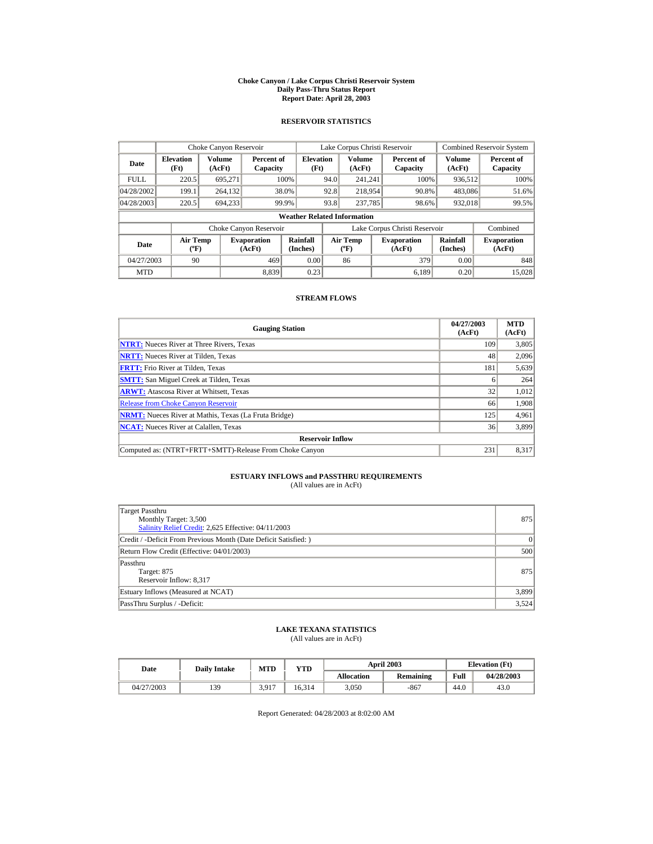#### **Choke Canyon / Lake Corpus Christi Reservoir System Daily Pass-Thru Status Report Report Date: April 28, 2003**

### **RESERVOIR STATISTICS**

|             | Choke Canyon Reservoir                      |                  |                              |                          | Lake Corpus Christi Reservoir |                                             |  |                               |                      | <b>Combined Reservoir System</b> |  |  |
|-------------|---------------------------------------------|------------------|------------------------------|--------------------------|-------------------------------|---------------------------------------------|--|-------------------------------|----------------------|----------------------------------|--|--|
| Date        | <b>Elevation</b><br>(Ft)                    | Volume<br>(AcFt) | Percent of<br>Capacity       | <b>Elevation</b><br>(Ft) |                               | Volume<br>(AcFt)                            |  | Percent of<br>Capacity        | Volume<br>(AcFt)     | Percent of<br>Capacity           |  |  |
| <b>FULL</b> | 220.5                                       | 695.271          |                              | 100%                     | 94.0                          | 241.241                                     |  | 100%                          | 936,512              | 100%                             |  |  |
| 04/28/2002  | 199.1                                       | 264,132          |                              | 38.0%                    | 92.8                          | 218,954                                     |  | 90.8%                         | 483,086              | 51.6%                            |  |  |
| 04/28/2003  | 220.5                                       | 694.233          |                              | 99.9%                    | 93.8                          | 237,785                                     |  | 98.6%                         | 932,018              | 99.5%                            |  |  |
|             | <b>Weather Related Information</b>          |                  |                              |                          |                               |                                             |  |                               |                      |                                  |  |  |
|             |                                             |                  | Choke Canyon Reservoir       |                          |                               |                                             |  | Lake Corpus Christi Reservoir |                      | Combined                         |  |  |
| Date        | <b>Air Temp</b><br>$({}^{\circ}\mathrm{F})$ |                  | <b>Evaporation</b><br>(AcFt) | Rainfall<br>(Inches)     |                               | <b>Air Temp</b><br>$({}^{\circ}\mathbf{F})$ |  | <b>Evaporation</b><br>(AcFt)  | Rainfall<br>(Inches) | <b>Evaporation</b><br>(AcFt)     |  |  |
| 04/27/2003  | 90                                          |                  | 469                          | 0.00                     |                               | 86                                          |  | 379                           | 0.00                 | 848                              |  |  |
| <b>MTD</b>  |                                             |                  | 8.839                        | 0.23                     |                               |                                             |  | 6.189                         | 0.20                 | 15,028                           |  |  |

### **STREAM FLOWS**

| <b>Gauging Station</b>                                       | 04/27/2003<br>(AcFt) | <b>MTD</b><br>(AcFt) |
|--------------------------------------------------------------|----------------------|----------------------|
| <b>NTRT:</b> Nueces River at Three Rivers, Texas             | 109                  | 3,805                |
| <b>NRTT:</b> Nueces River at Tilden, Texas                   | 48                   | 2,096                |
| <b>FRTT:</b> Frio River at Tilden, Texas                     | 181                  | 5,639                |
| <b>SMTT:</b> San Miguel Creek at Tilden, Texas               | <sub>0</sub>         | 264                  |
| <b>ARWT:</b> Atascosa River at Whitsett, Texas               | 32                   | 1,012                |
| <b>Release from Choke Canyon Reservoir</b>                   | 66                   | 1,908                |
| <b>NRMT:</b> Nueces River at Mathis, Texas (La Fruta Bridge) | 125                  | 4,961                |
| <b>NCAT:</b> Nueces River at Calallen, Texas                 | 36                   | 3,899                |
| <b>Reservoir Inflow</b>                                      |                      |                      |
| Computed as: (NTRT+FRTT+SMTT)-Release From Choke Canyon      | 231                  | 8,317                |

# **ESTUARY INFLOWS and PASSTHRU REQUIREMENTS**<br>(All values are in AcFt)

| Target Passthru<br>Monthly Target: 3,500<br>Salinity Relief Credit: 2,625 Effective: 04/11/2003 | 875   |
|-------------------------------------------------------------------------------------------------|-------|
| Credit / -Deficit From Previous Month (Date Deficit Satisfied: )                                | 0     |
| Return Flow Credit (Effective: 04/01/2003)                                                      | 500   |
| Passthru<br>Target: 875<br>Reservoir Inflow: 8,317                                              | 875   |
| Estuary Inflows (Measured at NCAT)                                                              | 3,899 |
| PassThru Surplus / -Deficit:                                                                    | 3,524 |

## **LAKE TEXANA STATISTICS**

(All values are in AcFt)

| Date       | <b>Daily Intake</b> | <b>MTD</b> | YTD    |                   | <b>April 2003</b> | <b>Elevation</b> (Ft) |            |
|------------|---------------------|------------|--------|-------------------|-------------------|-----------------------|------------|
|            |                     |            |        | <b>Allocation</b> | Remaining         | Full                  | 04/28/2003 |
| 04/27/2003 | 139                 | 3.917      | 16.314 | 3.050             | $-867$            | 44.0                  | 43.0       |

Report Generated: 04/28/2003 at 8:02:00 AM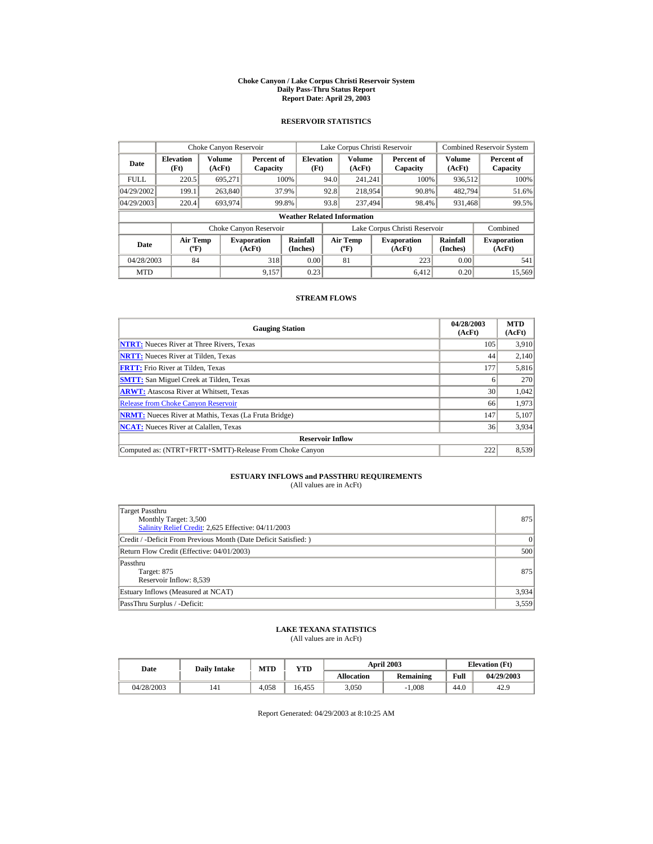#### **Choke Canyon / Lake Corpus Christi Reservoir System Daily Pass-Thru Status Report Report Date: April 29, 2003**

### **RESERVOIR STATISTICS**

|             | Choke Canyon Reservoir                      |                  |                              |                          | Lake Corpus Christi Reservoir |                                             |  |                               |                      | <b>Combined Reservoir System</b> |  |  |
|-------------|---------------------------------------------|------------------|------------------------------|--------------------------|-------------------------------|---------------------------------------------|--|-------------------------------|----------------------|----------------------------------|--|--|
| Date        | <b>Elevation</b><br>(Ft)                    | Volume<br>(AcFt) | Percent of<br>Capacity       | <b>Elevation</b><br>(Ft) |                               | Volume<br>(AcFt)                            |  | Percent of<br>Capacity        | Volume<br>(AcFt)     | Percent of<br>Capacity           |  |  |
| <b>FULL</b> | 220.5                                       | 695.271          |                              | 100%                     | 94.0                          | 241.241                                     |  | 100%                          | 936,512              | 100%                             |  |  |
| 04/29/2002  | 199.1                                       | 263,840          |                              | 37.9%                    | 92.8                          | 218,954                                     |  | 90.8%                         | 482,794              | 51.6%                            |  |  |
| 04/29/2003  | 220.4                                       | 693.974          |                              | 99.8%                    | 93.8                          | 237,494                                     |  | 98.4%                         | 931,468              | 99.5%                            |  |  |
|             | <b>Weather Related Information</b>          |                  |                              |                          |                               |                                             |  |                               |                      |                                  |  |  |
|             |                                             |                  | Choke Canyon Reservoir       |                          |                               |                                             |  | Lake Corpus Christi Reservoir |                      | Combined                         |  |  |
| Date        | <b>Air Temp</b><br>$({}^{\circ}\mathrm{F})$ |                  | <b>Evaporation</b><br>(AcFt) | Rainfall<br>(Inches)     |                               | <b>Air Temp</b><br>$({}^{\circ}\mathbf{F})$ |  | <b>Evaporation</b><br>(AcFt)  | Rainfall<br>(Inches) | <b>Evaporation</b><br>(AcFt)     |  |  |
| 04/28/2003  | 84                                          |                  | 318                          | 0.00                     |                               | 81                                          |  | 223                           | 0.00                 | 541                              |  |  |
| <b>MTD</b>  |                                             |                  | 9,157                        | 0.23                     |                               |                                             |  | 6.412                         | 0.20                 | 15,569                           |  |  |

### **STREAM FLOWS**

| <b>Gauging Station</b>                                       | 04/28/2003<br>(AcFt) | <b>MTD</b><br>(AcFt) |
|--------------------------------------------------------------|----------------------|----------------------|
| <b>NTRT:</b> Nueces River at Three Rivers, Texas             | 105                  | 3,910                |
| <b>NRTT:</b> Nueces River at Tilden. Texas                   | 44                   | 2,140                |
| <b>FRTT:</b> Frio River at Tilden, Texas                     | 177                  | 5,816                |
| <b>SMTT:</b> San Miguel Creek at Tilden, Texas               | o                    | 270                  |
| <b>ARWT:</b> Atascosa River at Whitsett, Texas               | 30                   | 1,042                |
| <b>Release from Choke Canyon Reservoir</b>                   | 66                   | 1,973                |
| <b>NRMT:</b> Nueces River at Mathis, Texas (La Fruta Bridge) | 147                  | 5,107                |
| <b>NCAT:</b> Nueces River at Calallen, Texas                 | 36                   | 3,934                |
| <b>Reservoir Inflow</b>                                      |                      |                      |
| Computed as: (NTRT+FRTT+SMTT)-Release From Choke Canyon      | 222                  | 8,539                |

# **ESTUARY INFLOWS and PASSTHRU REQUIREMENTS**<br>(All values are in AcFt)

| Target Passthru<br>Monthly Target: 3,500<br>Salinity Relief Credit: 2,625 Effective: 04/11/2003 | 875   |
|-------------------------------------------------------------------------------------------------|-------|
| Credit / -Deficit From Previous Month (Date Deficit Satisfied: )                                | 0     |
| Return Flow Credit (Effective: 04/01/2003)                                                      | 500   |
| Passthru<br>Target: 875<br>Reservoir Inflow: 8,539                                              | 875   |
| Estuary Inflows (Measured at NCAT)                                                              | 3,934 |
| PassThru Surplus / -Deficit:                                                                    | 3,559 |

## **LAKE TEXANA STATISTICS**

(All values are in AcFt)

| Date       | <b>Daily Intake</b> | <b>MTD</b> |        |                   | <b>April 2003</b> | <b>Elevation</b> (Ft) |            |
|------------|---------------------|------------|--------|-------------------|-------------------|-----------------------|------------|
|            |                     |            | YTD    | <b>Allocation</b> | Remaining         | Full                  | 04/29/2003 |
| 04/28/2003 | 141                 | 4.058      | 16.455 | 3.050             | 1.008             | 44.0                  | 42.9       |

Report Generated: 04/29/2003 at 8:10:25 AM